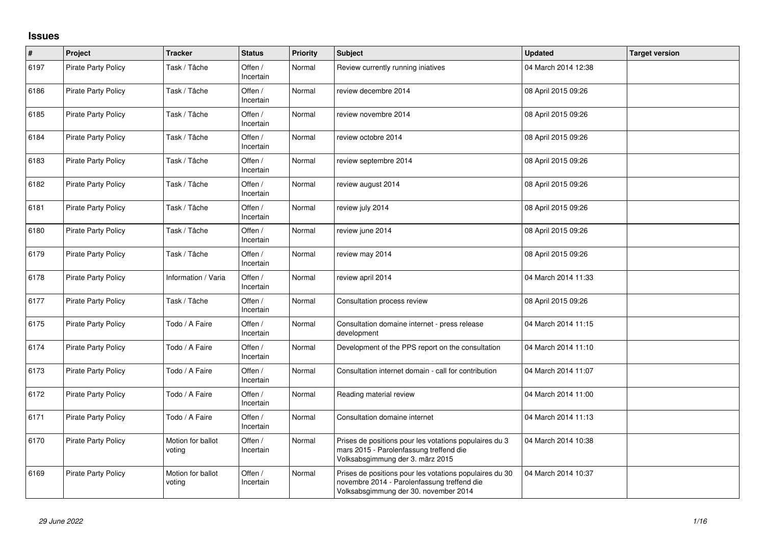## **Issues**

| $\sharp$ | Project                    | <b>Tracker</b>              | <b>Status</b>        | <b>Priority</b> | <b>Subject</b>                                                                                                                                  | <b>Updated</b>      | <b>Target version</b> |
|----------|----------------------------|-----------------------------|----------------------|-----------------|-------------------------------------------------------------------------------------------------------------------------------------------------|---------------------|-----------------------|
| 6197     | <b>Pirate Party Policy</b> | Task / Tâche                | Offen /<br>Incertain | Normal          | Review currently running iniatives                                                                                                              | 04 March 2014 12:38 |                       |
| 6186     | <b>Pirate Party Policy</b> | Task / Tâche                | Offen /<br>Incertain | Normal          | review decembre 2014                                                                                                                            | 08 April 2015 09:26 |                       |
| 6185     | <b>Pirate Party Policy</b> | Task / Tâche                | Offen /<br>Incertain | Normal          | review novembre 2014                                                                                                                            | 08 April 2015 09:26 |                       |
| 6184     | Pirate Party Policy        | Task / Tâche                | Offen /<br>Incertain | Normal          | review octobre 2014                                                                                                                             | 08 April 2015 09:26 |                       |
| 6183     | Pirate Party Policy        | Task / Tâche                | Offen /<br>Incertain | Normal          | review septembre 2014                                                                                                                           | 08 April 2015 09:26 |                       |
| 6182     | <b>Pirate Party Policy</b> | Task / Tâche                | Offen /<br>Incertain | Normal          | review august 2014                                                                                                                              | 08 April 2015 09:26 |                       |
| 6181     | <b>Pirate Party Policy</b> | Task / Tâche                | Offen /<br>Incertain | Normal          | review july 2014                                                                                                                                | 08 April 2015 09:26 |                       |
| 6180     | <b>Pirate Party Policy</b> | Task / Tâche                | Offen /<br>Incertain | Normal          | review june 2014                                                                                                                                | 08 April 2015 09:26 |                       |
| 6179     | Pirate Party Policy        | Task / Tâche                | Offen /<br>Incertain | Normal          | review may 2014                                                                                                                                 | 08 April 2015 09:26 |                       |
| 6178     | <b>Pirate Party Policy</b> | Information / Varia         | Offen /<br>Incertain | Normal          | review april 2014                                                                                                                               | 04 March 2014 11:33 |                       |
| 6177     | <b>Pirate Party Policy</b> | Task / Tâche                | Offen /<br>Incertain | Normal          | Consultation process review                                                                                                                     | 08 April 2015 09:26 |                       |
| 6175     | <b>Pirate Party Policy</b> | Todo / A Faire              | Offen /<br>Incertain | Normal          | Consultation domaine internet - press release<br>development                                                                                    | 04 March 2014 11:15 |                       |
| 6174     | Pirate Party Policy        | Todo / A Faire              | Offen /<br>Incertain | Normal          | Development of the PPS report on the consultation                                                                                               | 04 March 2014 11:10 |                       |
| 6173     | <b>Pirate Party Policy</b> | Todo / A Faire              | Offen /<br>Incertain | Normal          | Consultation internet domain - call for contribution                                                                                            | 04 March 2014 11:07 |                       |
| 6172     | Pirate Party Policy        | Todo / A Faire              | Offen /<br>Incertain | Normal          | Reading material review                                                                                                                         | 04 March 2014 11:00 |                       |
| 6171     | Pirate Party Policy        | Todo / A Faire              | Offen /<br>Incertain | Normal          | Consultation domaine internet                                                                                                                   | 04 March 2014 11:13 |                       |
| 6170     | Pirate Party Policy        | Motion for ballot<br>voting | Offen /<br>Incertain | Normal          | Prises de positions pour les votations populaires du 3<br>mars 2015 - Parolenfassung treffend die<br>Volksabsgimmung der 3. märz 2015           | 04 March 2014 10:38 |                       |
| 6169     | Pirate Party Policy        | Motion for ballot<br>voting | Offen /<br>Incertain | Normal          | Prises de positions pour les votations populaires du 30<br>novembre 2014 - Parolenfassung treffend die<br>Volksabsgimmung der 30. november 2014 | 04 March 2014 10:37 |                       |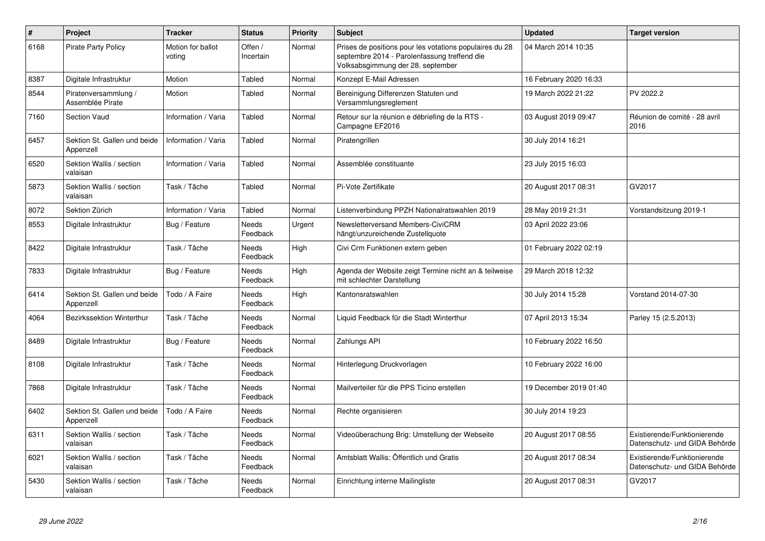| $\sharp$ | Project                                   | <b>Tracker</b>              | <b>Status</b>            | <b>Priority</b> | <b>Subject</b>                                                                                                                               | <b>Updated</b>         | <b>Target version</b>                                         |
|----------|-------------------------------------------|-----------------------------|--------------------------|-----------------|----------------------------------------------------------------------------------------------------------------------------------------------|------------------------|---------------------------------------------------------------|
| 6168     | <b>Pirate Party Policy</b>                | Motion for ballot<br>voting | Offen /<br>Incertain     | Normal          | Prises de positions pour les votations populaires du 28<br>septembre 2014 - Parolenfassung treffend die<br>Volksabsgimmung der 28. september | 04 March 2014 10:35    |                                                               |
| 8387     | Digitale Infrastruktur                    | Motion                      | Tabled                   | Normal          | Konzept E-Mail Adressen                                                                                                                      | 16 February 2020 16:33 |                                                               |
| 8544     | Piratenversammlung /<br>Assemblée Pirate  | Motion                      | Tabled                   | Normal          | Bereinigung Differenzen Statuten und<br>Versammlungsreglement                                                                                | 19 March 2022 21:22    | PV 2022.2                                                     |
| 7160     | <b>Section Vaud</b>                       | Information / Varia         | Tabled                   | Normal          | Retour sur la réunion e débriefing de la RTS -<br>Campagne EF2016                                                                            | 03 August 2019 09:47   | Réunion de comité - 28 avril<br>2016                          |
| 6457     | Sektion St. Gallen und beide<br>Appenzell | Information / Varia         | Tabled                   | Normal          | Piratengrillen                                                                                                                               | 30 July 2014 16:21     |                                                               |
| 6520     | Sektion Wallis / section<br>valaisan      | Information / Varia         | Tabled                   | Normal          | Assemblée constituante                                                                                                                       | 23 July 2015 16:03     |                                                               |
| 5873     | Sektion Wallis / section<br>valaisan      | Task / Tâche                | Tabled                   | Normal          | Pi-Vote Zertifikate                                                                                                                          | 20 August 2017 08:31   | GV2017                                                        |
| 8072     | Sektion Zürich                            | Information / Varia         | Tabled                   | Normal          | Listenverbindung PPZH Nationalratswahlen 2019                                                                                                | 28 May 2019 21:31      | Vorstandsitzung 2019-1                                        |
| 8553     | Digitale Infrastruktur                    | Bug / Feature               | <b>Needs</b><br>Feedback | Urgent          | Newsletterversand Members-CiviCRM<br>hängt/unzureichende Zustellquote                                                                        | 03 April 2022 23:06    |                                                               |
| 8422     | Digitale Infrastruktur                    | Task / Tâche                | <b>Needs</b><br>Feedback | High            | Civi Crm Funktionen extern geben                                                                                                             | 01 February 2022 02:19 |                                                               |
| 7833     | Digitale Infrastruktur                    | Bug / Feature               | Needs<br>Feedback        | High            | Agenda der Website zeigt Termine nicht an & teilweise<br>mit schlechter Darstellung                                                          | 29 March 2018 12:32    |                                                               |
| 6414     | Sektion St. Gallen und beide<br>Appenzell | Todo / A Faire              | Needs<br>Feedback        | High            | Kantonsratswahlen                                                                                                                            | 30 July 2014 15:28     | Vorstand 2014-07-30                                           |
| 4064     | Bezirkssektion Winterthur                 | Task / Tâche                | Needs<br>Feedback        | Normal          | Liquid Feedback für die Stadt Winterthur                                                                                                     | 07 April 2013 15:34    | Parley 15 (2.5.2013)                                          |
| 8489     | Digitale Infrastruktur                    | Bug / Feature               | Needs<br>Feedback        | Normal          | Zahlungs API                                                                                                                                 | 10 February 2022 16:50 |                                                               |
| 8108     | Digitale Infrastruktur                    | Task / Tâche                | <b>Needs</b><br>Feedback | Normal          | Hinterlegung Druckvorlagen                                                                                                                   | 10 February 2022 16:00 |                                                               |
| 7868     | Digitale Infrastruktur                    | Task / Tâche                | Needs<br>Feedback        | Normal          | Mailverteiler für die PPS Ticino erstellen                                                                                                   | 19 December 2019 01:40 |                                                               |
| 6402     | Sektion St. Gallen und beide<br>Appenzell | Todo / A Faire              | Needs<br>Feedback        | Normal          | Rechte organisieren                                                                                                                          | 30 July 2014 19:23     |                                                               |
| 6311     | Sektion Wallis / section<br>valaisan      | Task / Tâche                | <b>Needs</b><br>Feedback | Normal          | Videoüberachung Brig: Umstellung der Webseite                                                                                                | 20 August 2017 08:55   | Existierende/Funktionierende<br>Datenschutz- und GIDA Behörde |
| 6021     | Sektion Wallis / section<br>valaisan      | Task / Tâche                | Needs<br>Feedback        | Normal          | Amtsblatt Wallis: Öffentlich und Gratis                                                                                                      | 20 August 2017 08:34   | Existierende/Funktionierende<br>Datenschutz- und GIDA Behörde |
| 5430     | Sektion Wallis / section<br>valaisan      | Task / Tâche                | Needs<br>Feedback        | Normal          | Einrichtung interne Mailingliste                                                                                                             | 20 August 2017 08:31   | GV2017                                                        |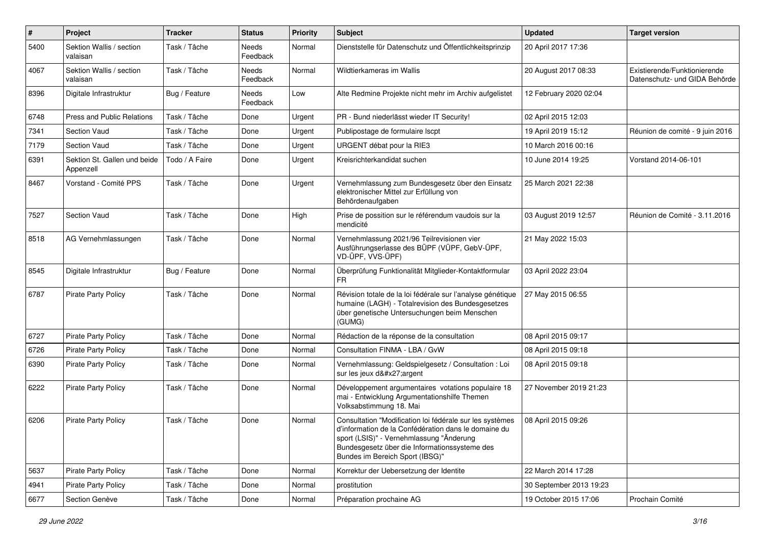| $\pmb{\#}$ | Project                                   | <b>Tracker</b> | <b>Status</b>            | <b>Priority</b> | <b>Subject</b>                                                                                                                                                                                                                                   | <b>Updated</b>          | <b>Target version</b>                                         |
|------------|-------------------------------------------|----------------|--------------------------|-----------------|--------------------------------------------------------------------------------------------------------------------------------------------------------------------------------------------------------------------------------------------------|-------------------------|---------------------------------------------------------------|
| 5400       | Sektion Wallis / section<br>valaisan      | Task / Tâche   | Needs<br>Feedback        | Normal          | Dienststelle für Datenschutz und Öffentlichkeitsprinzip                                                                                                                                                                                          | 20 April 2017 17:36     |                                                               |
| 4067       | Sektion Wallis / section<br>valaisan      | Task / Tâche   | Needs<br>Feedback        | Normal          | Wildtierkameras im Wallis                                                                                                                                                                                                                        | 20 August 2017 08:33    | Existierende/Funktionierende<br>Datenschutz- und GIDA Behörde |
| 8396       | Digitale Infrastruktur                    | Bug / Feature  | <b>Needs</b><br>Feedback | Low             | Alte Redmine Projekte nicht mehr im Archiv aufgelistet                                                                                                                                                                                           | 12 February 2020 02:04  |                                                               |
| 6748       | <b>Press and Public Relations</b>         | Task / Tâche   | Done                     | Urgent          | PR - Bund niederlässt wieder IT Security!                                                                                                                                                                                                        | 02 April 2015 12:03     |                                                               |
| 7341       | <b>Section Vaud</b>                       | Task / Tâche   | Done                     | Urgent          | Publipostage de formulaire Iscpt                                                                                                                                                                                                                 | 19 April 2019 15:12     | Réunion de comité - 9 juin 2016                               |
| 7179       | <b>Section Vaud</b>                       | Task / Tâche   | Done                     | Urgent          | URGENT débat pour la RIE3                                                                                                                                                                                                                        | 10 March 2016 00:16     |                                                               |
| 6391       | Sektion St. Gallen und beide<br>Appenzell | Todo / A Faire | Done                     | Urgent          | Kreisrichterkandidat suchen                                                                                                                                                                                                                      | 10 June 2014 19:25      | Vorstand 2014-06-101                                          |
| 8467       | Vorstand - Comité PPS                     | Task / Tâche   | Done                     | Urgent          | Vernehmlassung zum Bundesgesetz über den Einsatz<br>elektronischer Mittel zur Erfüllung von<br>Behördenaufgaben                                                                                                                                  | 25 March 2021 22:38     |                                                               |
| 7527       | <b>Section Vaud</b>                       | Task / Tâche   | Done                     | High            | Prise de possition sur le référendum vaudois sur la<br>mendicité                                                                                                                                                                                 | 03 August 2019 12:57    | Réunion de Comité - 3.11.2016                                 |
| 8518       | AG Vernehmlassungen                       | Task / Tâche   | Done                     | Normal          | Vernehmlassung 2021/96 Teilrevisionen vier<br>Ausführungserlasse des BÜPF (VÜPF, GebV-ÜPF,<br>VD-ÜPF, VVS-ÜPF)                                                                                                                                   | 21 May 2022 15:03       |                                                               |
| 8545       | Digitale Infrastruktur                    | Bug / Feature  | Done                     | Normal          | Überprüfung Funktionalität Mitglieder-Kontaktformular<br>FR                                                                                                                                                                                      | 03 April 2022 23:04     |                                                               |
| 6787       | <b>Pirate Party Policy</b>                | Task / Tâche   | Done                     | Normal          | Révision totale de la loi fédérale sur l'analyse génétique<br>humaine (LAGH) - Totalrevision des Bundesgesetzes<br>über genetische Untersuchungen beim Menschen<br>(GUMG)                                                                        | 27 May 2015 06:55       |                                                               |
| 6727       | <b>Pirate Party Policy</b>                | Task / Tâche   | Done                     | Normal          | Rédaction de la réponse de la consultation                                                                                                                                                                                                       | 08 April 2015 09:17     |                                                               |
| 6726       | <b>Pirate Party Policy</b>                | Task / Tâche   | Done                     | Normal          | Consultation FINMA - LBA / GvW                                                                                                                                                                                                                   | 08 April 2015 09:18     |                                                               |
| 6390       | <b>Pirate Party Policy</b>                | Task / Tâche   | Done                     | Normal          | Vernehmlassung: Geldspielgesetz / Consultation : Loi<br>sur les jeux d'argent                                                                                                                                                                    | 08 April 2015 09:18     |                                                               |
| 6222       | <b>Pirate Party Policy</b>                | Task / Tâche   | Done                     | Normal          | Développement argumentaires votations populaire 18<br>mai - Entwicklung Argumentationshilfe Themen<br>Volksabstimmung 18. Mai                                                                                                                    | 27 November 2019 21:23  |                                                               |
| 6206       | <b>Pirate Party Policy</b>                | Task / Tâche   | Done                     | Normal          | Consultation "Modification loi fédérale sur les systèmes<br>d'information de la Confédération dans le domaine du<br>sport (LSIS)" - Vernehmlassung "Änderung<br>Bundesgesetz über die Informationssysteme des<br>Bundes im Bereich Sport (IBSG)" | 08 April 2015 09:26     |                                                               |
| 5637       | <b>Pirate Party Policy</b>                | Task / Tâche   | Done                     | Normal          | Korrektur der Uebersetzung der Identite                                                                                                                                                                                                          | 22 March 2014 17:28     |                                                               |
| 4941       | Pirate Party Policy                       | Task / Tâche   | Done                     | Normal          | prostitution                                                                                                                                                                                                                                     | 30 September 2013 19:23 |                                                               |
| 6677       | Section Genève                            | Task / Tâche   | Done                     | Normal          | Préparation prochaine AG                                                                                                                                                                                                                         | 19 October 2015 17:06   | Prochain Comité                                               |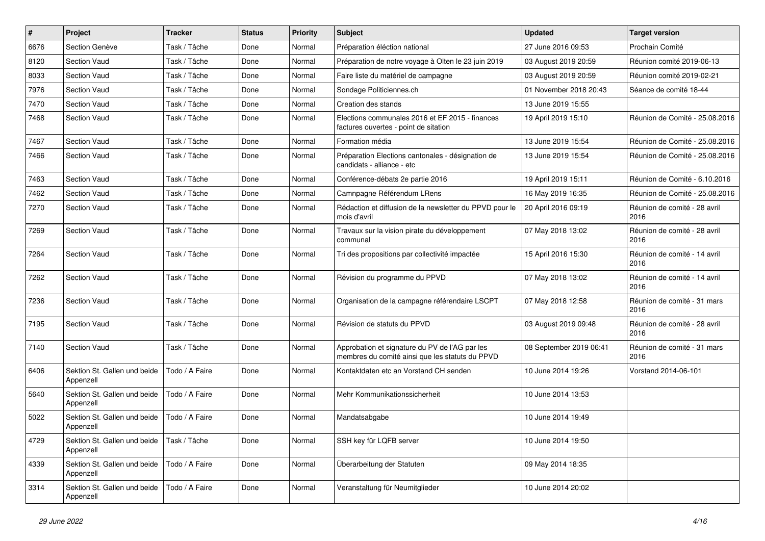| #    | Project                                   | <b>Tracker</b> | <b>Status</b> | <b>Priority</b> | <b>Subject</b>                                                                                    | <b>Updated</b>          | <b>Target version</b>                |
|------|-------------------------------------------|----------------|---------------|-----------------|---------------------------------------------------------------------------------------------------|-------------------------|--------------------------------------|
| 6676 | Section Genève                            | Task / Tâche   | Done          | Normal          | Préparation éléction national                                                                     | 27 June 2016 09:53      | Prochain Comité                      |
| 8120 | Section Vaud                              | Task / Tâche   | Done          | Normal          | Préparation de notre voyage à Olten le 23 juin 2019                                               | 03 August 2019 20:59    | Réunion comité 2019-06-13            |
| 8033 | Section Vaud                              | Task / Tâche   | Done          | Normal          | Faire liste du matériel de campagne                                                               | 03 August 2019 20:59    | Réunion comité 2019-02-21            |
| 7976 | Section Vaud                              | Task / Tâche   | Done          | Normal          | Sondage Politiciennes.ch                                                                          | 01 November 2018 20:43  | Séance de comité 18-44               |
| 7470 | <b>Section Vaud</b>                       | Task / Tâche   | Done          | Normal          | Creation des stands                                                                               | 13 June 2019 15:55      |                                      |
| 7468 | Section Vaud                              | Task / Tâche   | Done          | Normal          | Elections communales 2016 et EF 2015 - finances<br>factures ouvertes - point de sitation          | 19 April 2019 15:10     | Réunion de Comité - 25.08.2016       |
| 7467 | Section Vaud                              | Task / Tâche   | Done          | Normal          | Formation média                                                                                   | 13 June 2019 15:54      | Réunion de Comité - 25.08.2016       |
| 7466 | Section Vaud                              | Task / Tâche   | Done          | Normal          | Préparation Elections cantonales - désignation de<br>candidats - alliance - etc                   | 13 June 2019 15:54      | Réunion de Comité - 25.08.2016       |
| 7463 | Section Vaud                              | Task / Tâche   | Done          | Normal          | Conférence-débats 2e partie 2016                                                                  | 19 April 2019 15:11     | Réunion de Comité - 6.10.2016        |
| 7462 | Section Vaud                              | Task / Tâche   | Done          | Normal          | Camnpagne Référendum LRens                                                                        | 16 May 2019 16:35       | Réunion de Comité - 25.08.2016       |
| 7270 | <b>Section Vaud</b>                       | Task / Tâche   | Done          | Normal          | Rédaction et diffusion de la newsletter du PPVD pour le<br>mois d'avril                           | 20 April 2016 09:19     | Réunion de comité - 28 avril<br>2016 |
| 7269 | Section Vaud                              | Task / Tâche   | Done          | Normal          | Travaux sur la vision pirate du développement<br>communal                                         | 07 May 2018 13:02       | Réunion de comité - 28 avril<br>2016 |
| 7264 | Section Vaud                              | Task / Tâche   | Done          | Normal          | Tri des propositions par collectivité impactée                                                    | 15 April 2016 15:30     | Réunion de comité - 14 avril<br>2016 |
| 7262 | Section Vaud                              | Task / Tâche   | Done          | Normal          | Révision du programme du PPVD                                                                     | 07 May 2018 13:02       | Réunion de comité - 14 avril<br>2016 |
| 7236 | Section Vaud                              | Task / Tâche   | Done          | Normal          | Organisation de la campagne référendaire LSCPT                                                    | 07 May 2018 12:58       | Réunion de comité - 31 mars<br>2016  |
| 7195 | <b>Section Vaud</b>                       | Task / Tâche   | Done          | Normal          | Révision de statuts du PPVD                                                                       | 03 August 2019 09:48    | Réunion de comité - 28 avril<br>2016 |
| 7140 | Section Vaud                              | Task / Tâche   | Done          | Normal          | Approbation et signature du PV de l'AG par les<br>membres du comité ainsi que les statuts du PPVD | 08 September 2019 06:41 | Réunion de comité - 31 mars<br>2016  |
| 6406 | Sektion St. Gallen und beide<br>Appenzell | Todo / A Faire | Done          | Normal          | Kontaktdaten etc an Vorstand CH senden                                                            | 10 June 2014 19:26      | Vorstand 2014-06-101                 |
| 5640 | Sektion St. Gallen und beide<br>Appenzell | Todo / A Faire | Done          | Normal          | Mehr Kommunikationssicherheit                                                                     | 10 June 2014 13:53      |                                      |
| 5022 | Sektion St. Gallen und beide<br>Appenzell | Todo / A Faire | Done          | Normal          | Mandatsabgabe                                                                                     | 10 June 2014 19:49      |                                      |
| 4729 | Sektion St. Gallen und beide<br>Appenzell | Task / Tâche   | Done          | Normal          | SSH key für LQFB server                                                                           | 10 June 2014 19:50      |                                      |
| 4339 | Sektion St. Gallen und beide<br>Appenzell | Todo / A Faire | Done          | Normal          | Überarbeitung der Statuten                                                                        | 09 May 2014 18:35       |                                      |
| 3314 | Sektion St. Gallen und beide<br>Appenzell | Todo / A Faire | Done          | Normal          | Veranstaltung für Neumitglieder                                                                   | 10 June 2014 20:02      |                                      |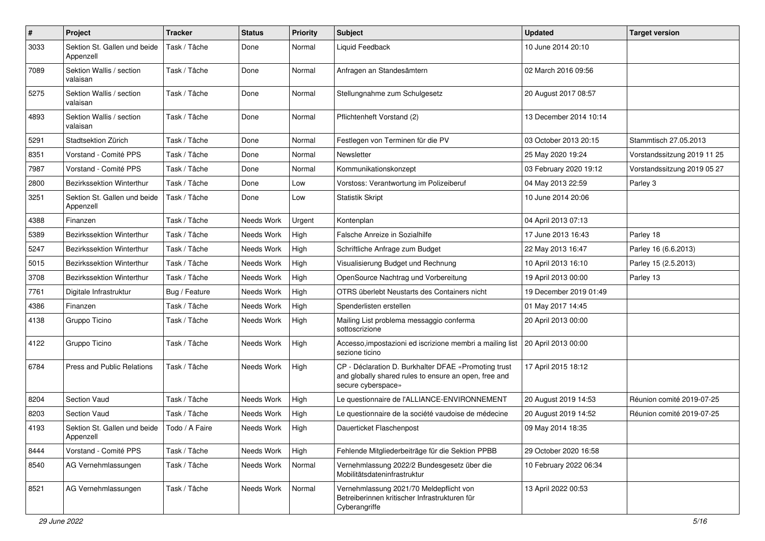| $\pmb{\#}$ | Project                                   | <b>Tracker</b> | <b>Status</b> | <b>Priority</b> | <b>Subject</b>                                                                                                                      | <b>Updated</b>         | <b>Target version</b>       |
|------------|-------------------------------------------|----------------|---------------|-----------------|-------------------------------------------------------------------------------------------------------------------------------------|------------------------|-----------------------------|
| 3033       | Sektion St. Gallen und beide<br>Appenzell | Task / Tâche   | Done          | Normal          | <b>Liquid Feedback</b>                                                                                                              | 10 June 2014 20:10     |                             |
| 7089       | Sektion Wallis / section<br>valaisan      | Task / Tâche   | Done          | Normal          | Anfragen an Standesämtern                                                                                                           | 02 March 2016 09:56    |                             |
| 5275       | Sektion Wallis / section<br>valaisan      | Task / Tâche   | Done          | Normal          | Stellungnahme zum Schulgesetz                                                                                                       | 20 August 2017 08:57   |                             |
| 4893       | Sektion Wallis / section<br>valaisan      | Task / Tâche   | Done          | Normal          | Pflichtenheft Vorstand (2)                                                                                                          | 13 December 2014 10:14 |                             |
| 5291       | Stadtsektion Zürich                       | Task / Tâche   | Done          | Normal          | Festlegen von Terminen für die PV                                                                                                   | 03 October 2013 20:15  | Stammtisch 27.05.2013       |
| 8351       | Vorstand - Comité PPS                     | Task / Tâche   | Done          | Normal          | Newsletter                                                                                                                          | 25 May 2020 19:24      | Vorstandssitzung 2019 11 25 |
| 7987       | Vorstand - Comité PPS                     | Task / Tâche   | Done          | Normal          | Kommunikationskonzept                                                                                                               | 03 February 2020 19:12 | Vorstandssitzung 2019 05 27 |
| 2800       | Bezirkssektion Winterthur                 | Task / Tâche   | Done          | Low             | Vorstoss: Verantwortung im Polizeiberuf                                                                                             | 04 May 2013 22:59      | Parley 3                    |
| 3251       | Sektion St. Gallen und beide<br>Appenzell | Task / Tâche   | Done          | Low             | <b>Statistik Skript</b>                                                                                                             | 10 June 2014 20:06     |                             |
| 4388       | Finanzen                                  | Task / Tâche   | Needs Work    | Urgent          | Kontenplan                                                                                                                          | 04 April 2013 07:13    |                             |
| 5389       | Bezirkssektion Winterthur                 | Task / Tâche   | Needs Work    | High            | Falsche Anreize in Sozialhilfe                                                                                                      | 17 June 2013 16:43     | Parley 18                   |
| 5247       | Bezirkssektion Winterthur                 | Task / Tâche   | Needs Work    | High            | Schriftliche Anfrage zum Budget                                                                                                     | 22 May 2013 16:47      | Parley 16 (6.6.2013)        |
| 5015       | Bezirkssektion Winterthur                 | Task / Tâche   | Needs Work    | High            | Visualisierung Budget und Rechnung                                                                                                  | 10 April 2013 16:10    | Parley 15 (2.5.2013)        |
| 3708       | Bezirkssektion Winterthur                 | Task / Tâche   | Needs Work    | High            | OpenSource Nachtrag und Vorbereitung                                                                                                | 19 April 2013 00:00    | Parley 13                   |
| 7761       | Digitale Infrastruktur                    | Bug / Feature  | Needs Work    | High            | OTRS überlebt Neustarts des Containers nicht                                                                                        | 19 December 2019 01:49 |                             |
| 4386       | Finanzen                                  | Task / Tâche   | Needs Work    | High            | Spenderlisten erstellen                                                                                                             | 01 May 2017 14:45      |                             |
| 4138       | Gruppo Ticino                             | Task / Tâche   | Needs Work    | High            | Mailing List problema messaggio conferma<br>sottoscrizione                                                                          | 20 April 2013 00:00    |                             |
| 4122       | Gruppo Ticino                             | Task / Tâche   | Needs Work    | High            | Accesso, impostazioni ed iscrizione membri a mailing list<br>sezione ticino                                                         | 20 April 2013 00:00    |                             |
| 6784       | Press and Public Relations                | Task / Tâche   | Needs Work    | High            | CP - Déclaration D. Burkhalter DFAE «Promoting trust<br>and globally shared rules to ensure an open, free and<br>secure cyberspace» | 17 April 2015 18:12    |                             |
| 8204       | <b>Section Vaud</b>                       | Task / Tâche   | Needs Work    | High            | Le questionnaire de l'ALLIANCE-ENVIRONNEMENT                                                                                        | 20 August 2019 14:53   | Réunion comité 2019-07-25   |
| 8203       | <b>Section Vaud</b>                       | Task / Tâche   | Needs Work    | High            | Le questionnaire de la société vaudoise de médecine                                                                                 | 20 August 2019 14:52   | Réunion comité 2019-07-25   |
| 4193       | Sektion St. Gallen und beide<br>Appenzell | Todo / A Faire | Needs Work    | High            | Dauerticket Flaschenpost                                                                                                            | 09 May 2014 18:35      |                             |
| 8444       | Vorstand - Comité PPS                     | Task / Tâche   | Needs Work    | High            | Fehlende Mitgliederbeiträge für die Sektion PPBB                                                                                    | 29 October 2020 16:58  |                             |
| 8540       | AG Vernehmlassungen                       | Task / Tâche   | Needs Work    | Normal          | Vernehmlassung 2022/2 Bundesgesetz über die<br>Mobilitätsdateninfrastruktur                                                         | 10 February 2022 06:34 |                             |
| 8521       | AG Vernehmlassungen                       | Task / Tâche   | Needs Work    | Normal          | Vernehmlassung 2021/70 Meldepflicht von<br>Betreiberinnen kritischer Infrastrukturen für<br>Cyberangriffe                           | 13 April 2022 00:53    |                             |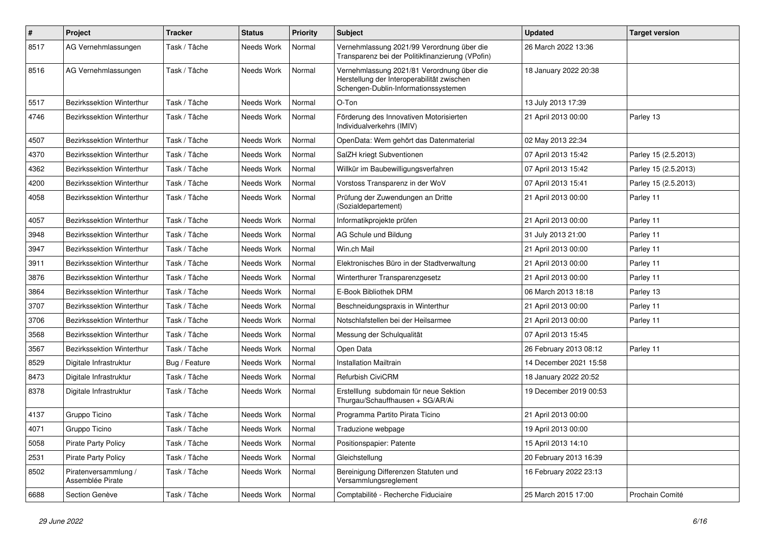| $\#$ | Project                                  | <b>Tracker</b> | <b>Status</b> | <b>Priority</b> | <b>Subject</b>                                                                                                                   | <b>Updated</b>         | <b>Target version</b> |
|------|------------------------------------------|----------------|---------------|-----------------|----------------------------------------------------------------------------------------------------------------------------------|------------------------|-----------------------|
| 8517 | AG Vernehmlassungen                      | Task / Tâche   | Needs Work    | Normal          | Vernehmlassung 2021/99 Verordnung über die<br>Transparenz bei der Politikfinanzierung (VPofin)                                   | 26 March 2022 13:36    |                       |
| 8516 | AG Vernehmlassungen                      | Task / Tâche   | Needs Work    | Normal          | Vernehmlassung 2021/81 Verordnung über die<br>Herstellung der Interoperabilität zwischen<br>Schengen-Dublin-Informationssystemen | 18 January 2022 20:38  |                       |
| 5517 | <b>Bezirkssektion Winterthur</b>         | Task / Tâche   | Needs Work    | Normal          | O-Ton                                                                                                                            | 13 July 2013 17:39     |                       |
| 4746 | Bezirkssektion Winterthur                | Task / Tâche   | Needs Work    | Normal          | Förderung des Innovativen Motorisierten<br>Individualverkehrs (IMIV)                                                             | 21 April 2013 00:00    | Parley 13             |
| 4507 | Bezirkssektion Winterthur                | Task / Tâche   | Needs Work    | Normal          | OpenData: Wem gehört das Datenmaterial                                                                                           | 02 May 2013 22:34      |                       |
| 4370 | <b>Bezirkssektion Winterthur</b>         | Task / Tâche   | Needs Work    | Normal          | SalZH kriegt Subventionen                                                                                                        | 07 April 2013 15:42    | Parley 15 (2.5.2013)  |
| 4362 | Bezirkssektion Winterthur                | Task / Tâche   | Needs Work    | Normal          | Willkür im Baubewilligungsverfahren                                                                                              | 07 April 2013 15:42    | Parley 15 (2.5.2013)  |
| 4200 | Bezirkssektion Winterthur                | Task / Tâche   | Needs Work    | Normal          | Vorstoss Transparenz in der WoV                                                                                                  | 07 April 2013 15:41    | Parley 15 (2.5.2013)  |
| 4058 | Bezirkssektion Winterthur                | Task / Tâche   | Needs Work    | Normal          | Prüfung der Zuwendungen an Dritte<br>(Sozialdepartement)                                                                         | 21 April 2013 00:00    | Parley 11             |
| 4057 | Bezirkssektion Winterthur                | Task / Tâche   | Needs Work    | Normal          | Informatikprojekte prüfen                                                                                                        | 21 April 2013 00:00    | Parley 11             |
| 3948 | <b>Bezirkssektion Winterthur</b>         | Task / Tâche   | Needs Work    | Normal          | AG Schule und Bildung                                                                                                            | 31 July 2013 21:00     | Parley 11             |
| 3947 | Bezirkssektion Winterthur                | Task / Tâche   | Needs Work    | Normal          | Win.ch Mail                                                                                                                      | 21 April 2013 00:00    | Parley 11             |
| 3911 | Bezirkssektion Winterthur                | Task / Tâche   | Needs Work    | Normal          | Elektronisches Büro in der Stadtverwaltung                                                                                       | 21 April 2013 00:00    | Parley 11             |
| 3876 | Bezirkssektion Winterthur                | Task / Tâche   | Needs Work    | Normal          | Winterthurer Transparenzgesetz                                                                                                   | 21 April 2013 00:00    | Parley 11             |
| 3864 | Bezirkssektion Winterthur                | Task / Tâche   | Needs Work    | Normal          | E-Book Bibliothek DRM                                                                                                            | 06 March 2013 18:18    | Parley 13             |
| 3707 | Bezirkssektion Winterthur                | Task / Tâche   | Needs Work    | Normal          | Beschneidungspraxis in Winterthur                                                                                                | 21 April 2013 00:00    | Parley 11             |
| 3706 | Bezirkssektion Winterthur                | Task / Tâche   | Needs Work    | Normal          | Notschlafstellen bei der Heilsarmee                                                                                              | 21 April 2013 00:00    | Parley 11             |
| 3568 | Bezirkssektion Winterthur                | Task / Tâche   | Needs Work    | Normal          | Messung der Schulqualität                                                                                                        | 07 April 2013 15:45    |                       |
| 3567 | Bezirkssektion Winterthur                | Task / Tâche   | Needs Work    | Normal          | Open Data                                                                                                                        | 26 February 2013 08:12 | Parley 11             |
| 8529 | Digitale Infrastruktur                   | Bug / Feature  | Needs Work    | Normal          | Installation Mailtrain                                                                                                           | 14 December 2021 15:58 |                       |
| 8473 | Digitale Infrastruktur                   | Task / Tâche   | Needs Work    | Normal          | Refurbish CiviCRM                                                                                                                | 18 January 2022 20:52  |                       |
| 8378 | Digitale Infrastruktur                   | Task / Tâche   | Needs Work    | Normal          | Erstelllung subdomain für neue Sektion<br>Thurgau/Schauffhausen + SG/AR/Ai                                                       | 19 December 2019 00:53 |                       |
| 4137 | Gruppo Ticino                            | Task / Tâche   | Needs Work    | Normal          | Programma Partito Pirata Ticino                                                                                                  | 21 April 2013 00:00    |                       |
| 4071 | Gruppo Ticino                            | Task / Tâche   | Needs Work    | Normal          | Traduzione webpage                                                                                                               | 19 April 2013 00:00    |                       |
| 5058 | Pirate Party Policy                      | Task / Tâche   | Needs Work    | Normal          | Positionspapier: Patente                                                                                                         | 15 April 2013 14:10    |                       |
| 2531 | Pirate Party Policy                      | Task / Tâche   | Needs Work    | Normal          | Gleichstellung                                                                                                                   | 20 February 2013 16:39 |                       |
| 8502 | Piratenversammlung /<br>Assemblée Pirate | Task / Tâche   | Needs Work    | Normal          | Bereinigung Differenzen Statuten und<br>Versammlungsreglement                                                                    | 16 February 2022 23:13 |                       |
| 6688 | Section Genève                           | Task / Tâche   | Needs Work    | Normal          | Comptabilité - Recherche Fiduciaire                                                                                              | 25 March 2015 17:00    | Prochain Comité       |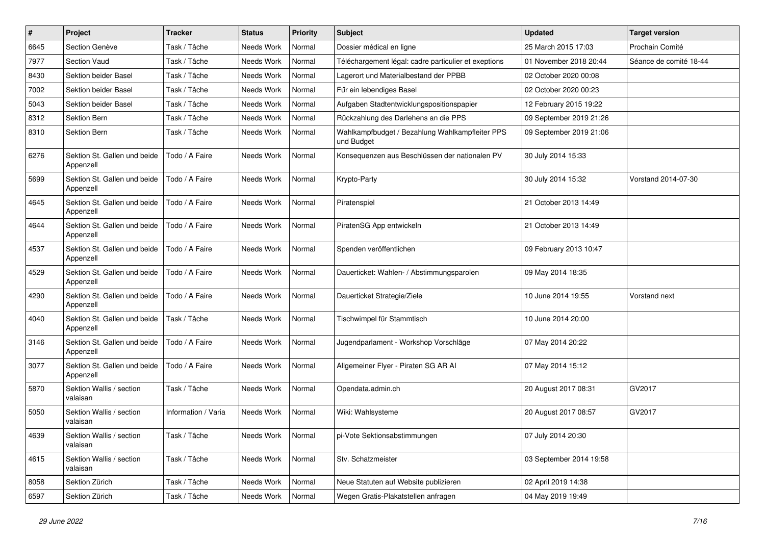| $\pmb{\#}$ | Project                                   | <b>Tracker</b>      | <b>Status</b> | <b>Priority</b> | <b>Subject</b>                                                | <b>Updated</b>          | <b>Target version</b>  |
|------------|-------------------------------------------|---------------------|---------------|-----------------|---------------------------------------------------------------|-------------------------|------------------------|
| 6645       | Section Genève                            | Task / Tâche        | Needs Work    | Normal          | Dossier médical en ligne                                      | 25 March 2015 17:03     | Prochain Comité        |
| 7977       | <b>Section Vaud</b>                       | Task / Tâche        | Needs Work    | Normal          | Téléchargement légal: cadre particulier et exeptions          | 01 November 2018 20:44  | Séance de comité 18-44 |
| 8430       | Sektion beider Basel                      | Task / Tâche        | Needs Work    | Normal          | Lagerort und Materialbestand der PPBB                         | 02 October 2020 00:08   |                        |
| 7002       | Sektion beider Basel                      | Task / Tâche        | Needs Work    | Normal          | Für ein lebendiges Basel                                      | 02 October 2020 00:23   |                        |
| 5043       | Sektion beider Basel                      | Task / Tâche        | Needs Work    | Normal          | Aufgaben Stadtentwicklungspositionspapier                     | 12 February 2015 19:22  |                        |
| 8312       | Sektion Bern                              | Task / Tâche        | Needs Work    | Normal          | Rückzahlung des Darlehens an die PPS                          | 09 September 2019 21:26 |                        |
| 8310       | Sektion Bern                              | Task / Tâche        | Needs Work    | Normal          | Wahlkampfbudget / Bezahlung Wahlkampfleiter PPS<br>und Budget | 09 September 2019 21:06 |                        |
| 6276       | Sektion St. Gallen und beide<br>Appenzell | Todo / A Faire      | Needs Work    | Normal          | Konsequenzen aus Beschlüssen der nationalen PV                | 30 July 2014 15:33      |                        |
| 5699       | Sektion St. Gallen und beide<br>Appenzell | Todo / A Faire      | Needs Work    | Normal          | Krypto-Party                                                  | 30 July 2014 15:32      | Vorstand 2014-07-30    |
| 4645       | Sektion St. Gallen und beide<br>Appenzell | Todo / A Faire      | Needs Work    | Normal          | Piratenspiel                                                  | 21 October 2013 14:49   |                        |
| 4644       | Sektion St. Gallen und beide<br>Appenzell | Todo / A Faire      | Needs Work    | Normal          | PiratenSG App entwickeln                                      | 21 October 2013 14:49   |                        |
| 4537       | Sektion St. Gallen und beide<br>Appenzell | Todo / A Faire      | Needs Work    | Normal          | Spenden veröffentlichen                                       | 09 February 2013 10:47  |                        |
| 4529       | Sektion St. Gallen und beide<br>Appenzell | Todo / A Faire      | Needs Work    | Normal          | Dauerticket: Wahlen- / Abstimmungsparolen                     | 09 May 2014 18:35       |                        |
| 4290       | Sektion St. Gallen und beide<br>Appenzell | Todo / A Faire      | Needs Work    | Normal          | Dauerticket Strategie/Ziele                                   | 10 June 2014 19:55      | Vorstand next          |
| 4040       | Sektion St. Gallen und beide<br>Appenzell | Task / Tâche        | Needs Work    | Normal          | Tischwimpel für Stammtisch                                    | 10 June 2014 20:00      |                        |
| 3146       | Sektion St. Gallen und beide<br>Appenzell | Todo / A Faire      | Needs Work    | Normal          | Jugendparlament - Workshop Vorschläge                         | 07 May 2014 20:22       |                        |
| 3077       | Sektion St. Gallen und beide<br>Appenzell | Todo / A Faire      | Needs Work    | Normal          | Allgemeiner Flyer - Piraten SG AR Al                          | 07 May 2014 15:12       |                        |
| 5870       | Sektion Wallis / section<br>valaisan      | Task / Tâche        | Needs Work    | Normal          | Opendata.admin.ch                                             | 20 August 2017 08:31    | GV2017                 |
| 5050       | Sektion Wallis / section<br>valaisan      | Information / Varia | Needs Work    | Normal          | Wiki: Wahlsysteme                                             | 20 August 2017 08:57    | GV2017                 |
| 4639       | Sektion Wallis / section<br>valaisan      | Task / Tâche        | Needs Work    | Normal          | pi-Vote Sektionsabstimmungen                                  | 07 July 2014 20:30      |                        |
| 4615       | Sektion Wallis / section<br>valaisan      | Task / Tâche        | Needs Work    | Normal          | Stv. Schatzmeister                                            | 03 September 2014 19:58 |                        |
| 8058       | Sektion Zürich                            | Task / Tâche        | Needs Work    | Normal          | Neue Statuten auf Website publizieren                         | 02 April 2019 14:38     |                        |
| 6597       | Sektion Zürich                            | Task / Tâche        | Needs Work    | Normal          | Wegen Gratis-Plakatstellen anfragen                           | 04 May 2019 19:49       |                        |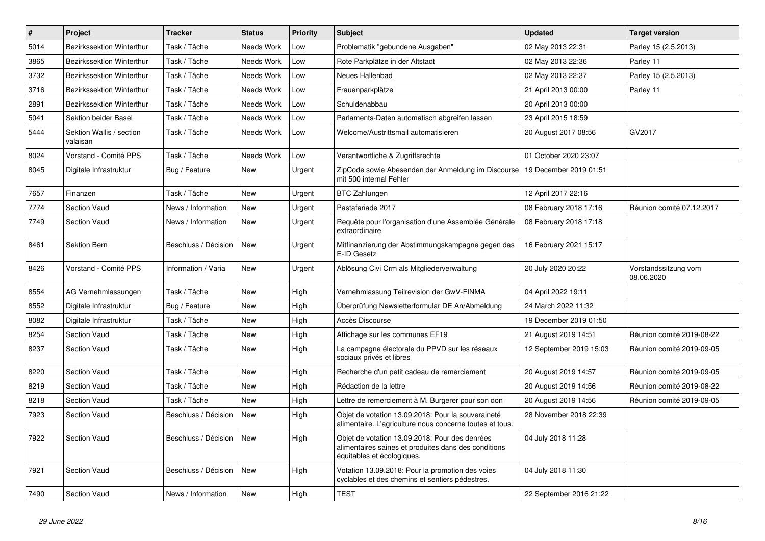| $\pmb{\#}$ | Project                              | <b>Tracker</b>       | <b>Status</b> | <b>Priority</b> | <b>Subject</b>                                                                                                                       | <b>Updated</b>          | <b>Target version</b>              |
|------------|--------------------------------------|----------------------|---------------|-----------------|--------------------------------------------------------------------------------------------------------------------------------------|-------------------------|------------------------------------|
| 5014       | Bezirkssektion Winterthur            | Task / Tâche         | Needs Work    | Low             | Problematik "gebundene Ausgaben"                                                                                                     | 02 May 2013 22:31       | Parley 15 (2.5.2013)               |
| 3865       | Bezirkssektion Winterthur            | Task / Tâche         | Needs Work    | Low             | Rote Parkplätze in der Altstadt                                                                                                      | 02 May 2013 22:36       | Parley 11                          |
| 3732       | Bezirkssektion Winterthur            | Task / Tâche         | Needs Work    | Low             | Neues Hallenbad                                                                                                                      | 02 May 2013 22:37       | Parley 15 (2.5.2013)               |
| 3716       | Bezirkssektion Winterthur            | Task / Tâche         | Needs Work    | Low             | Frauenparkplätze                                                                                                                     | 21 April 2013 00:00     | Parley 11                          |
| 2891       | Bezirkssektion Winterthur            | Task / Tâche         | Needs Work    | Low             | Schuldenabbau                                                                                                                        | 20 April 2013 00:00     |                                    |
| 5041       | Sektion beider Basel                 | Task / Tâche         | Needs Work    | Low             | Parlaments-Daten automatisch abgreifen lassen                                                                                        | 23 April 2015 18:59     |                                    |
| 5444       | Sektion Wallis / section<br>valaisan | Task / Tâche         | Needs Work    | Low             | Welcome/Austrittsmail automatisieren                                                                                                 | 20 August 2017 08:56    | GV2017                             |
| 8024       | Vorstand - Comité PPS                | Task / Tâche         | Needs Work    | Low             | Verantwortliche & Zugriffsrechte                                                                                                     | 01 October 2020 23:07   |                                    |
| 8045       | Digitale Infrastruktur               | Bug / Feature        | <b>New</b>    | Urgent          | ZipCode sowie Abesenden der Anmeldung im Discourse<br>mit 500 internal Fehler                                                        | 19 December 2019 01:51  |                                    |
| 7657       | Finanzen                             | Task / Tâche         | New           | Urgent          | <b>BTC Zahlungen</b>                                                                                                                 | 12 April 2017 22:16     |                                    |
| 7774       | Section Vaud                         | News / Information   | <b>New</b>    | Urgent          | Pastafariade 2017                                                                                                                    | 08 February 2018 17:16  | Réunion comité 07.12.2017          |
| 7749       | <b>Section Vaud</b>                  | News / Information   | New           | Urgent          | Requête pour l'organisation d'une Assemblée Générale<br>extraordinaire                                                               | 08 February 2018 17:18  |                                    |
| 8461       | Sektion Bern                         | Beschluss / Décision | New           | Urgent          | Mitfinanzierung der Abstimmungskampagne gegen das<br>E-ID Gesetz                                                                     | 16 February 2021 15:17  |                                    |
| 8426       | Vorstand - Comité PPS                | Information / Varia  | <b>New</b>    | Urgent          | Ablösung Civi Crm als Mitgliederverwaltung                                                                                           | 20 July 2020 20:22      | Vorstandssitzung vom<br>08.06.2020 |
| 8554       | AG Vernehmlassungen                  | Task / Tâche         | <b>New</b>    | High            | Vernehmlassung Teilrevision der GwV-FINMA                                                                                            | 04 April 2022 19:11     |                                    |
| 8552       | Digitale Infrastruktur               | Bug / Feature        | <b>New</b>    | High            | Überprüfung Newsletterformular DE An/Abmeldung                                                                                       | 24 March 2022 11:32     |                                    |
| 8082       | Digitale Infrastruktur               | Task / Tâche         | New           | High            | Accès Discourse                                                                                                                      | 19 December 2019 01:50  |                                    |
| 8254       | <b>Section Vaud</b>                  | Task / Tâche         | New           | High            | Affichage sur les communes EF19                                                                                                      | 21 August 2019 14:51    | Réunion comité 2019-08-22          |
| 8237       | <b>Section Vaud</b>                  | Task / Tâche         | <b>New</b>    | High            | La campagne électorale du PPVD sur les réseaux<br>sociaux privés et libres                                                           | 12 September 2019 15:03 | Réunion comité 2019-09-05          |
| 8220       | Section Vaud                         | Task / Tâche         | <b>New</b>    | High            | Recherche d'un petit cadeau de remerciement                                                                                          | 20 August 2019 14:57    | Réunion comité 2019-09-05          |
| 8219       | <b>Section Vaud</b>                  | Task / Tâche         | New           | High            | Rédaction de la lettre                                                                                                               | 20 August 2019 14:56    | Réunion comité 2019-08-22          |
| 8218       | <b>Section Vaud</b>                  | Task / Tâche         | <b>New</b>    | High            | Lettre de remerciement à M. Burgerer pour son don                                                                                    | 20 August 2019 14:56    | Réunion comité 2019-09-05          |
| 7923       | <b>Section Vaud</b>                  | Beschluss / Décision | <b>New</b>    | High            | Objet de votation 13.09.2018: Pour la souveraineté<br>alimentaire. L'agriculture nous concerne toutes et tous.                       | 28 November 2018 22:39  |                                    |
| 7922       | Section Vaud                         | Beschluss / Décision | New           | High            | Objet de votation 13.09.2018: Pour des denrées<br>alimentaires saines et produites dans des conditions<br>équitables et écologiques. | 04 July 2018 11:28      |                                    |
| 7921       | Section Vaud                         | Beschluss / Décision | New           | High            | Votation 13.09.2018: Pour la promotion des voies<br>cyclables et des chemins et sentiers pédestres.                                  | 04 July 2018 11:30      |                                    |
| 7490       | Section Vaud                         | News / Information   | New           | High            | TEST                                                                                                                                 | 22 September 2016 21:22 |                                    |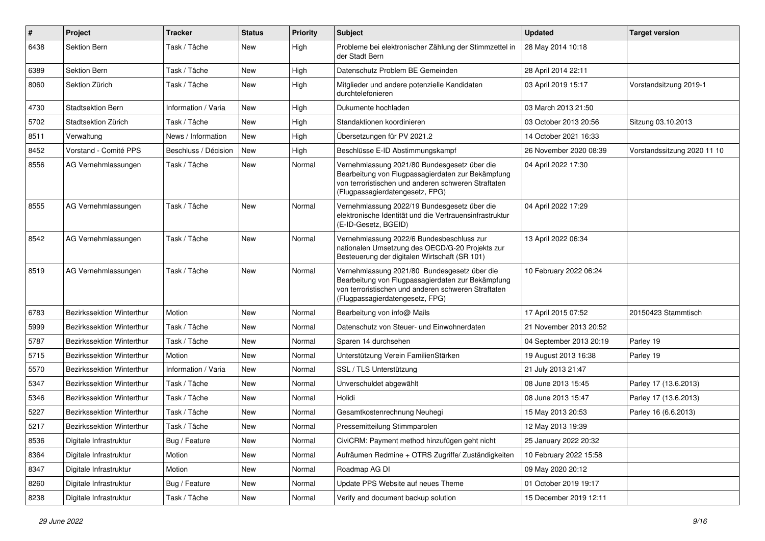| $\pmb{\#}$ | Project                          | <b>Tracker</b>       | <b>Status</b> | <b>Priority</b> | <b>Subject</b>                                                                                                                                                                              | <b>Updated</b>          | <b>Target version</b>       |
|------------|----------------------------------|----------------------|---------------|-----------------|---------------------------------------------------------------------------------------------------------------------------------------------------------------------------------------------|-------------------------|-----------------------------|
| 6438       | Sektion Bern                     | Task / Tâche         | New           | High            | Probleme bei elektronischer Zählung der Stimmzettel in<br>der Stadt Bern                                                                                                                    | 28 May 2014 10:18       |                             |
| 6389       | Sektion Bern                     | Task / Tâche         | New           | High            | Datenschutz Problem BE Gemeinden                                                                                                                                                            | 28 April 2014 22:11     |                             |
| 8060       | Sektion Zürich                   | Task / Tâche         | New           | High            | Mitglieder und andere potenzielle Kandidaten<br>durchtelefonieren                                                                                                                           | 03 April 2019 15:17     | Vorstandsitzung 2019-1      |
| 4730       | <b>Stadtsektion Bern</b>         | Information / Varia  | <b>New</b>    | High            | Dukumente hochladen                                                                                                                                                                         | 03 March 2013 21:50     |                             |
| 5702       | Stadtsektion Zürich              | Task / Tâche         | <b>New</b>    | High            | Standaktionen koordinieren                                                                                                                                                                  | 03 October 2013 20:56   | Sitzung 03.10.2013          |
| 8511       | Verwaltung                       | News / Information   | New           | High            | Übersetzungen für PV 2021.2                                                                                                                                                                 | 14 October 2021 16:33   |                             |
| 8452       | Vorstand - Comité PPS            | Beschluss / Décision | <b>New</b>    | High            | Beschlüsse E-ID Abstimmungskampf                                                                                                                                                            | 26 November 2020 08:39  | Vorstandssitzung 2020 11 10 |
| 8556       | AG Vernehmlassungen              | Task / Tâche         | <b>New</b>    | Normal          | Vernehmlassung 2021/80 Bundesgesetz über die<br>Bearbeitung von Flugpassagierdaten zur Bekämpfung<br>von terroristischen und anderen schweren Straftaten<br>(Flugpassagierdatengesetz, FPG) | 04 April 2022 17:30     |                             |
| 8555       | AG Vernehmlassungen              | Task / Tâche         | New           | Normal          | Vernehmlassung 2022/19 Bundesgesetz über die<br>elektronische Identität und die Vertrauensinfrastruktur<br>(E-ID-Gesetz, BGEID)                                                             | 04 April 2022 17:29     |                             |
| 8542       | AG Vernehmlassungen              | Task / Tâche         | New           | Normal          | Vernehmlassung 2022/6 Bundesbeschluss zur<br>nationalen Umsetzung des OECD/G-20 Projekts zur<br>Besteuerung der digitalen Wirtschaft (SR 101)                                               | 13 April 2022 06:34     |                             |
| 8519       | AG Vernehmlassungen              | Task / Tâche         | <b>New</b>    | Normal          | Vernehmlassung 2021/80 Bundesgesetz über die<br>Bearbeitung von Flugpassagierdaten zur Bekämpfung<br>von terroristischen und anderen schweren Straftaten<br>(Flugpassagierdatengesetz, FPG) | 10 February 2022 06:24  |                             |
| 6783       | Bezirkssektion Winterthur        | Motion               | <b>New</b>    | Normal          | Bearbeitung von info@ Mails                                                                                                                                                                 | 17 April 2015 07:52     | 20150423 Stammtisch         |
| 5999       | Bezirkssektion Winterthur        | Task / Tâche         | New           | Normal          | Datenschutz von Steuer- und Einwohnerdaten                                                                                                                                                  | 21 November 2013 20:52  |                             |
| 5787       | Bezirkssektion Winterthur        | Task / Tâche         | New           | Normal          | Sparen 14 durchsehen                                                                                                                                                                        | 04 September 2013 20:19 | Parley 19                   |
| 5715       | Bezirkssektion Winterthur        | Motion               | <b>New</b>    | Normal          | Unterstützung Verein FamilienStärken                                                                                                                                                        | 19 August 2013 16:38    | Parley 19                   |
| 5570       | Bezirkssektion Winterthur        | Information / Varia  | New           | Normal          | SSL / TLS Unterstützung                                                                                                                                                                     | 21 July 2013 21:47      |                             |
| 5347       | <b>Bezirkssektion Winterthur</b> | Task / Tâche         | New           | Normal          | Unverschuldet abgewählt                                                                                                                                                                     | 08 June 2013 15:45      | Parley 17 (13.6.2013)       |
| 5346       | Bezirkssektion Winterthur        | Task / Tâche         | New           | Normal          | Holidi                                                                                                                                                                                      | 08 June 2013 15:47      | Parley 17 (13.6.2013)       |
| 5227       | Bezirkssektion Winterthur        | Task / Tâche         | New           | Normal          | Gesamtkostenrechnung Neuhegi                                                                                                                                                                | 15 May 2013 20:53       | Parley 16 (6.6.2013)        |
| 5217       | Bezirkssektion Winterthur        | Task / Tâche         | New           | Normal          | Pressemitteilung Stimmparolen                                                                                                                                                               | 12 May 2013 19:39       |                             |
| 8536       | Digitale Infrastruktur           | Bug / Feature        | New           | Normal          | CiviCRM: Payment method hinzufügen geht nicht                                                                                                                                               | 25 January 2022 20:32   |                             |
| 8364       | Digitale Infrastruktur           | Motion               | New           | Normal          | Aufräumen Redmine + OTRS Zugriffe/ Zuständigkeiten                                                                                                                                          | 10 February 2022 15:58  |                             |
| 8347       | Digitale Infrastruktur           | Motion               | New           | Normal          | Roadmap AG DI                                                                                                                                                                               | 09 May 2020 20:12       |                             |
| 8260       | Digitale Infrastruktur           | Bug / Feature        | New           | Normal          | Update PPS Website auf neues Theme                                                                                                                                                          | 01 October 2019 19:17   |                             |
| 8238       | Digitale Infrastruktur           | Task / Tâche         | New           | Normal          | Verify and document backup solution                                                                                                                                                         | 15 December 2019 12:11  |                             |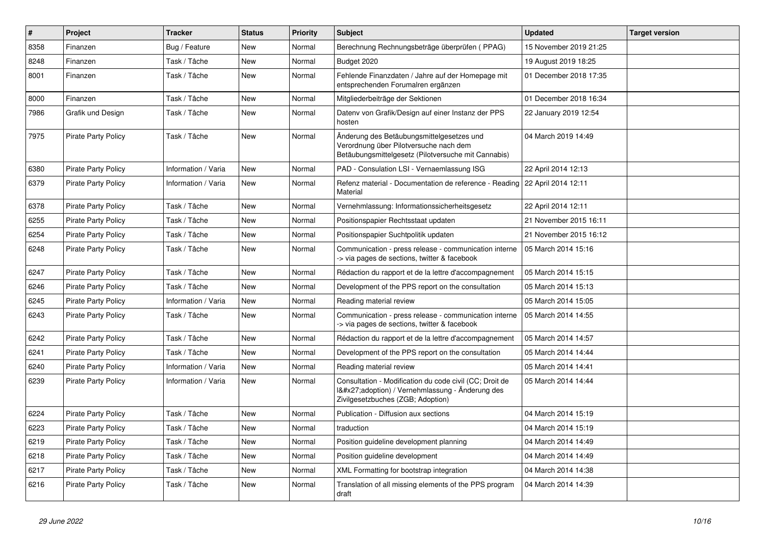| $\vert$ # | Project                    | <b>Tracker</b>      | <b>Status</b> | <b>Priority</b> | <b>Subject</b>                                                                                                                              | <b>Updated</b>         | <b>Target version</b> |
|-----------|----------------------------|---------------------|---------------|-----------------|---------------------------------------------------------------------------------------------------------------------------------------------|------------------------|-----------------------|
| 8358      | Finanzen                   | Bug / Feature       | New           | Normal          | Berechnung Rechnungsbeträge überprüfen (PPAG)                                                                                               | 15 November 2019 21:25 |                       |
| 8248      | Finanzen                   | Task / Tâche        | <b>New</b>    | Normal          | Budget 2020                                                                                                                                 | 19 August 2019 18:25   |                       |
| 8001      | Finanzen                   | Task / Tâche        | New           | Normal          | Fehlende Finanzdaten / Jahre auf der Homepage mit<br>entsprechenden Forumalren ergänzen                                                     | 01 December 2018 17:35 |                       |
| 8000      | Finanzen                   | Task / Tâche        | <b>New</b>    | Normal          | Mitgliederbeiträge der Sektionen                                                                                                            | 01 December 2018 16:34 |                       |
| 7986      | Grafik und Design          | Task / Tâche        | <b>New</b>    | Normal          | Datenv von Grafik/Design auf einer Instanz der PPS<br>hosten                                                                                | 22 January 2019 12:54  |                       |
| 7975      | <b>Pirate Party Policy</b> | Task / Tâche        | New           | Normal          | Änderung des Betäubungsmittelgesetzes und<br>Verordnung über Pilotversuche nach dem<br>Betäubungsmittelgesetz (Pilotversuche mit Cannabis)  | 04 March 2019 14:49    |                       |
| 6380      | <b>Pirate Party Policy</b> | Information / Varia | <b>New</b>    | Normal          | PAD - Consulation LSI - Vernaemlassung ISG                                                                                                  | 22 April 2014 12:13    |                       |
| 6379      | <b>Pirate Party Policy</b> | Information / Varia | <b>New</b>    | Normal          | Refenz material - Documentation de reference - Reading   22 April 2014 12:11<br>Material                                                    |                        |                       |
| 6378      | Pirate Party Policy        | Task / Tâche        | <b>New</b>    | Normal          | Vernehmlassung: Informationssicherheitsgesetz                                                                                               | 22 April 2014 12:11    |                       |
| 6255      | Pirate Party Policy        | Task / Tâche        | <b>New</b>    | Normal          | Positionspapier Rechtsstaat updaten                                                                                                         | 21 November 2015 16:11 |                       |
| 6254      | <b>Pirate Party Policy</b> | Task / Tâche        | <b>New</b>    | Normal          | Positionspapier Suchtpolitik updaten                                                                                                        | 21 November 2015 16:12 |                       |
| 6248      | <b>Pirate Party Policy</b> | Task / Tâche        | <b>New</b>    | Normal          | Communication - press release - communication interne<br>> via pages de sections, twitter & facebook                                        | 05 March 2014 15:16    |                       |
| 6247      | <b>Pirate Party Policy</b> | Task / Tâche        | <b>New</b>    | Normal          | Rédaction du rapport et de la lettre d'accompagnement                                                                                       | 05 March 2014 15:15    |                       |
| 6246      | <b>Pirate Party Policy</b> | Task / Tâche        | <b>New</b>    | Normal          | Development of the PPS report on the consultation                                                                                           | 05 March 2014 15:13    |                       |
| 6245      | <b>Pirate Party Policy</b> | Information / Varia | <b>New</b>    | Normal          | Reading material review                                                                                                                     | 05 March 2014 15:05    |                       |
| 6243      | <b>Pirate Party Policy</b> | Task / Tâche        | <b>New</b>    | Normal          | Communication - press release - communication interne<br>-> via pages de sections, twitter & facebook                                       | 05 March 2014 14:55    |                       |
| 6242      | <b>Pirate Party Policy</b> | Task / Tâche        | <b>New</b>    | Normal          | Rédaction du rapport et de la lettre d'accompagnement                                                                                       | 05 March 2014 14:57    |                       |
| 6241      | <b>Pirate Party Policy</b> | Task / Tâche        | <b>New</b>    | Normal          | Development of the PPS report on the consultation                                                                                           | 05 March 2014 14:44    |                       |
| 6240      | <b>Pirate Party Policy</b> | Information / Varia | <b>New</b>    | Normal          | Reading material review                                                                                                                     | 05 March 2014 14:41    |                       |
| 6239      | <b>Pirate Party Policy</b> | Information / Varia | <b>New</b>    | Normal          | Consultation - Modification du code civil (CC; Droit de<br>1'adoption) / Vernehmlassung - Änderung des<br>Zivilgesetzbuches (ZGB; Adoption) | 05 March 2014 14:44    |                       |
| 6224      | <b>Pirate Party Policy</b> | Task / Tâche        | <b>New</b>    | Normal          | Publication - Diffusion aux sections                                                                                                        | 04 March 2014 15:19    |                       |
| 6223      | <b>Pirate Party Policy</b> | Task / Tâche        | <b>New</b>    | Normal          | traduction                                                                                                                                  | 04 March 2014 15:19    |                       |
| 6219      | <b>Pirate Party Policy</b> | Task / Tâche        | <b>New</b>    | Normal          | Position guideline development planning                                                                                                     | 04 March 2014 14:49    |                       |
| 6218      | <b>Pirate Party Policy</b> | Task / Tâche        | <b>New</b>    | Normal          | Position guideline development                                                                                                              | 04 March 2014 14:49    |                       |
| 6217      | <b>Pirate Party Policy</b> | Task / Tâche        | <b>New</b>    | Normal          | XML Formatting for bootstrap integration                                                                                                    | 04 March 2014 14:38    |                       |
| 6216      | <b>Pirate Party Policy</b> | Task / Tâche        | New           | Normal          | Translation of all missing elements of the PPS program<br>draft                                                                             | 04 March 2014 14:39    |                       |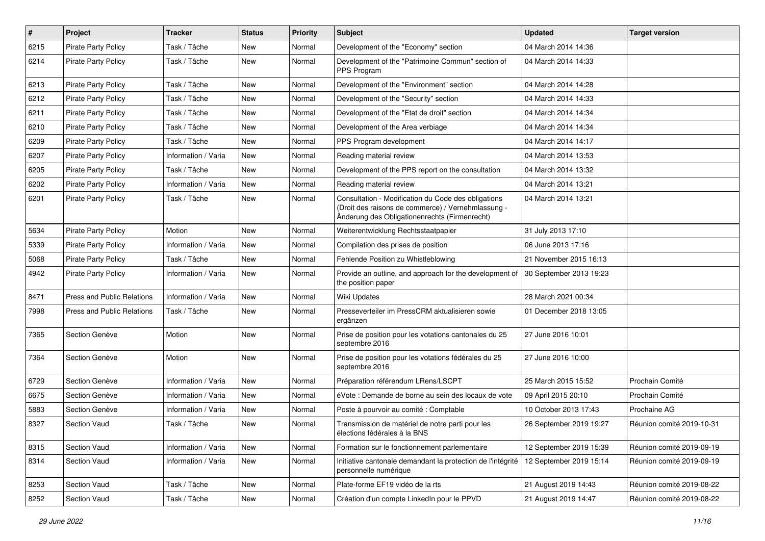| $\sharp$ | Project                           | <b>Tracker</b>      | <b>Status</b> | <b>Priority</b> | <b>Subject</b>                                                                                                                                             | <b>Updated</b>          | <b>Target version</b>     |
|----------|-----------------------------------|---------------------|---------------|-----------------|------------------------------------------------------------------------------------------------------------------------------------------------------------|-------------------------|---------------------------|
| 6215     | Pirate Party Policy               | Task / Tâche        | New           | Normal          | Development of the "Economy" section                                                                                                                       | 04 March 2014 14:36     |                           |
| 6214     | <b>Pirate Party Policy</b>        | Task / Tâche        | New           | Normal          | Development of the "Patrimoine Commun" section of<br>PPS Program                                                                                           | 04 March 2014 14:33     |                           |
| 6213     | <b>Pirate Party Policy</b>        | Task / Tâche        | New           | Normal          | Development of the "Environment" section                                                                                                                   | 04 March 2014 14:28     |                           |
| 6212     | Pirate Party Policy               | Task / Tâche        | New           | Normal          | Development of the "Security" section                                                                                                                      | 04 March 2014 14:33     |                           |
| 6211     | <b>Pirate Party Policy</b>        | Task / Tâche        | New           | Normal          | Development of the "Etat de droit" section                                                                                                                 | 04 March 2014 14:34     |                           |
| 6210     | <b>Pirate Party Policy</b>        | Task / Tâche        | <b>New</b>    | Normal          | Development of the Area verbiage                                                                                                                           | 04 March 2014 14:34     |                           |
| 6209     | <b>Pirate Party Policy</b>        | Task / Tâche        | New           | Normal          | PPS Program development                                                                                                                                    | 04 March 2014 14:17     |                           |
| 6207     | <b>Pirate Party Policy</b>        | Information / Varia | New           | Normal          | Reading material review                                                                                                                                    | 04 March 2014 13:53     |                           |
| 6205     | Pirate Party Policy               | Task / Tâche        | <b>New</b>    | Normal          | Development of the PPS report on the consultation                                                                                                          | 04 March 2014 13:32     |                           |
| 6202     | <b>Pirate Party Policy</b>        | Information / Varia | New           | Normal          | Reading material review                                                                                                                                    | 04 March 2014 13:21     |                           |
| 6201     | <b>Pirate Party Policy</b>        | Task / Tâche        | New           | Normal          | Consultation - Modification du Code des obligations<br>(Droit des raisons de commerce) / Vernehmlassung -<br>Änderung des Obligationenrechts (Firmenrecht) | 04 March 2014 13:21     |                           |
| 5634     | <b>Pirate Party Policy</b>        | Motion              | New           | Normal          | Weiterentwicklung Rechtsstaatpapier                                                                                                                        | 31 July 2013 17:10      |                           |
| 5339     | <b>Pirate Party Policy</b>        | Information / Varia | New           | Normal          | Compilation des prises de position                                                                                                                         | 06 June 2013 17:16      |                           |
| 5068     | <b>Pirate Party Policy</b>        | Task / Tâche        | New           | Normal          | Fehlende Position zu Whistleblowing                                                                                                                        | 21 November 2015 16:13  |                           |
| 4942     | <b>Pirate Party Policy</b>        | Information / Varia | <b>New</b>    | Normal          | Provide an outline, and approach for the development of<br>the position paper                                                                              | 30 September 2013 19:23 |                           |
| 8471     | <b>Press and Public Relations</b> | Information / Varia | New           | Normal          | Wiki Updates                                                                                                                                               | 28 March 2021 00:34     |                           |
| 7998     | <b>Press and Public Relations</b> | Task / Tâche        | <b>New</b>    | Normal          | Presseverteiler im PressCRM aktualisieren sowie<br>ergänzen                                                                                                | 01 December 2018 13:05  |                           |
| 7365     | Section Genève                    | Motion              | New           | Normal          | Prise de position pour les votations cantonales du 25<br>septembre 2016                                                                                    | 27 June 2016 10:01      |                           |
| 7364     | Section Genève                    | Motion              | New           | Normal          | Prise de position pour les votations fédérales du 25<br>septembre 2016                                                                                     | 27 June 2016 10:00      |                           |
| 6729     | Section Genève                    | Information / Varia | New           | Normal          | Préparation référendum LRens/LSCPT                                                                                                                         | 25 March 2015 15:52     | Prochain Comité           |
| 6675     | Section Genève                    | Information / Varia | New           | Normal          | éVote : Demande de borne au sein des locaux de vote                                                                                                        | 09 April 2015 20:10     | Prochain Comité           |
| 5883     | Section Genève                    | Information / Varia | New           | Normal          | Poste à pourvoir au comité : Comptable                                                                                                                     | 10 October 2013 17:43   | Prochaine AG              |
| 8327     | <b>Section Vaud</b>               | Task / Tâche        | New           | Normal          | Transmission de matériel de notre parti pour les<br>élections fédérales à la BNS                                                                           | 26 September 2019 19:27 | Réunion comité 2019-10-31 |
| 8315     | Section Vaud                      | Information / Varia | New           | Normal          | Formation sur le fonctionnement parlementaire                                                                                                              | 12 September 2019 15:39 | Réunion comité 2019-09-19 |
| 8314     | Section Vaud                      | Information / Varia | New           | Normal          | Initiative cantonale demandant la protection de l'intégrité<br>personnelle numérique                                                                       | 12 September 2019 15:14 | Réunion comité 2019-09-19 |
| 8253     | Section Vaud                      | Task / Tâche        | New           | Normal          | Plate-forme EF19 vidéo de la rts                                                                                                                           | 21 August 2019 14:43    | Réunion comité 2019-08-22 |
| 8252     | Section Vaud                      | Task / Tâche        | New           | Normal          | Création d'un compte LinkedIn pour le PPVD                                                                                                                 | 21 August 2019 14:47    | Réunion comité 2019-08-22 |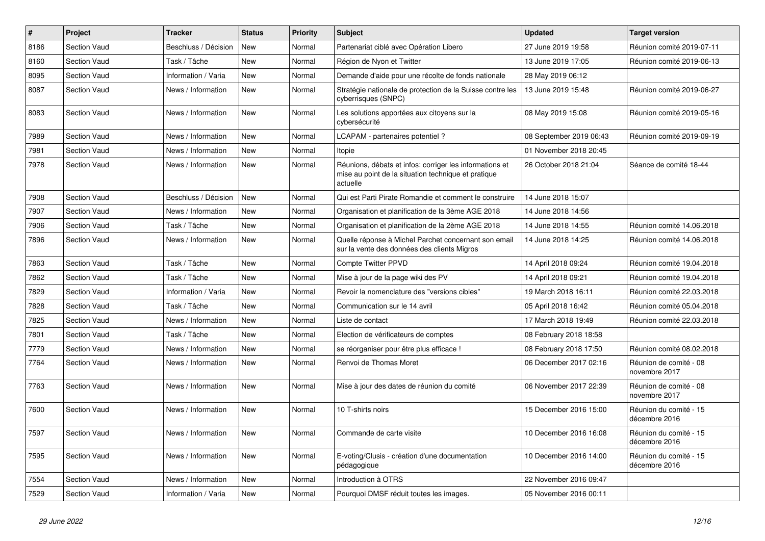| #    | Project             | <b>Tracker</b>       | <b>Status</b> | <b>Priority</b> | Subject                                                                                                                    | <b>Updated</b>          | <b>Target version</b>                   |
|------|---------------------|----------------------|---------------|-----------------|----------------------------------------------------------------------------------------------------------------------------|-------------------------|-----------------------------------------|
| 8186 | Section Vaud        | Beschluss / Décision | <b>New</b>    | Normal          | Partenariat ciblé avec Opération Libero                                                                                    | 27 June 2019 19:58      | Réunion comité 2019-07-11               |
| 8160 | Section Vaud        | Task / Tâche         | <b>New</b>    | Normal          | Région de Nyon et Twitter                                                                                                  | 13 June 2019 17:05      | Réunion comité 2019-06-13               |
| 8095 | Section Vaud        | Information / Varia  | New           | Normal          | Demande d'aide pour une récolte de fonds nationale                                                                         | 28 May 2019 06:12       |                                         |
| 8087 | Section Vaud        | News / Information   | New           | Normal          | Stratégie nationale de protection de la Suisse contre les<br>cyberrisques (SNPC)                                           | 13 June 2019 15:48      | Réunion comité 2019-06-27               |
| 8083 | Section Vaud        | News / Information   | New           | Normal          | Les solutions apportées aux citoyens sur la<br>cybersécurité                                                               | 08 May 2019 15:08       | Réunion comité 2019-05-16               |
| 7989 | Section Vaud        | News / Information   | New           | Normal          | LCAPAM - partenaires potentiel?                                                                                            | 08 September 2019 06:43 | Réunion comité 2019-09-19               |
| 7981 | Section Vaud        | News / Information   | <b>New</b>    | Normal          | Itopie                                                                                                                     | 01 November 2018 20:45  |                                         |
| 7978 | <b>Section Vaud</b> | News / Information   | New           | Normal          | Réunions, débats et infos: corriger les informations et<br>mise au point de la situation technique et pratique<br>actuelle | 26 October 2018 21:04   | Séance de comité 18-44                  |
| 7908 | Section Vaud        | Beschluss / Décision | New           | Normal          | Qui est Parti Pirate Romandie et comment le construire                                                                     | 14 June 2018 15:07      |                                         |
| 7907 | Section Vaud        | News / Information   | New           | Normal          | Organisation et planification de la 3ème AGE 2018                                                                          | 14 June 2018 14:56      |                                         |
| 7906 | Section Vaud        | Task / Tâche         | New           | Normal          | Organisation et planification de la 2ème AGE 2018                                                                          | 14 June 2018 14:55      | Réunion comité 14.06.2018               |
| 7896 | <b>Section Vaud</b> | News / Information   | New           | Normal          | Quelle réponse à Michel Parchet concernant son email<br>sur la vente des données des clients Migros                        | 14 June 2018 14:25      | Réunion comité 14.06.2018               |
| 7863 | Section Vaud        | Task / Tâche         | <b>New</b>    | Normal          | <b>Compte Twitter PPVD</b>                                                                                                 | 14 April 2018 09:24     | Réunion comité 19.04.2018               |
| 7862 | Section Vaud        | Task / Tâche         | New           | Normal          | Mise à jour de la page wiki des PV                                                                                         | 14 April 2018 09:21     | Réunion comité 19.04.2018               |
| 7829 | <b>Section Vaud</b> | Information / Varia  | New           | Normal          | Revoir la nomenclature des "versions cibles"                                                                               | 19 March 2018 16:11     | Réunion comité 22.03.2018               |
| 7828 | <b>Section Vaud</b> | Task / Tâche         | <b>New</b>    | Normal          | Communication sur le 14 avril                                                                                              | 05 April 2018 16:42     | Réunion comité 05.04.2018               |
| 7825 | Section Vaud        | News / Information   | New           | Normal          | Liste de contact                                                                                                           | 17 March 2018 19:49     | Réunion comité 22.03.2018               |
| 7801 | Section Vaud        | Task / Tâche         | <b>New</b>    | Normal          | Election de vérificateurs de comptes                                                                                       | 08 February 2018 18:58  |                                         |
| 7779 | Section Vaud        | News / Information   | New           | Normal          | se réorganiser pour être plus efficace !                                                                                   | 08 February 2018 17:50  | Réunion comité 08.02.2018               |
| 7764 | <b>Section Vaud</b> | News / Information   | New           | Normal          | Renvoi de Thomas Moret                                                                                                     | 06 December 2017 02:16  | Réunion de comité - 08<br>novembre 2017 |
| 7763 | Section Vaud        | News / Information   | New           | Normal          | Mise à jour des dates de réunion du comité                                                                                 | 06 November 2017 22:39  | Réunion de comité - 08<br>novembre 2017 |
| 7600 | Section Vaud        | News / Information   | <b>New</b>    | Normal          | 10 T-shirts noirs                                                                                                          | 15 December 2016 15:00  | Réunion du comité - 15<br>décembre 2016 |
| 7597 | Section Vaud        | News / Information   | New           | Normal          | Commande de carte visite                                                                                                   | 10 December 2016 16:08  | Réunion du comité - 15<br>décembre 2016 |
| 7595 | Section Vaud        | News / Information   | New           | Normal          | E-voting/Clusis - création d'une documentation<br>pédagogique                                                              | 10 December 2016 14:00  | Réunion du comité - 15<br>décembre 2016 |
| 7554 | Section Vaud        | News / Information   | New           | Normal          | Introduction à OTRS                                                                                                        | 22 November 2016 09:47  |                                         |
| 7529 | Section Vaud        | Information / Varia  | New           | Normal          | Pourquoi DMSF réduit toutes les images.                                                                                    | 05 November 2016 00:11  |                                         |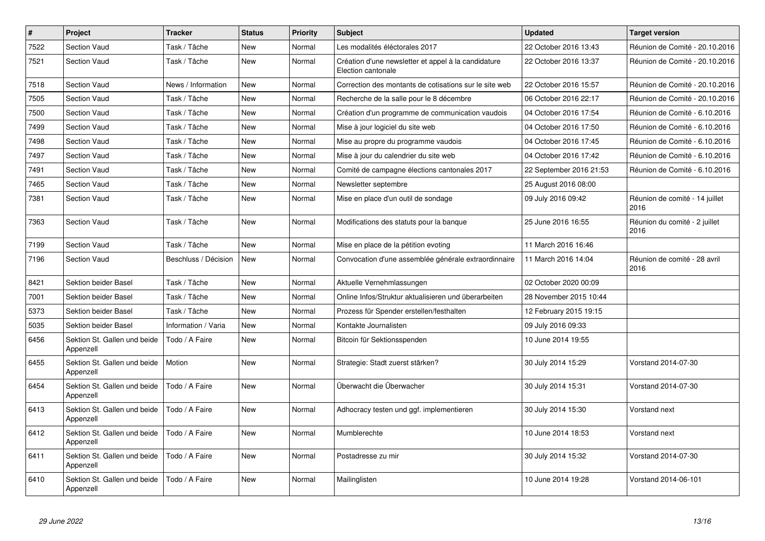| $\pmb{\#}$ | Project                                   | <b>Tracker</b>       | <b>Status</b> | <b>Priority</b> | <b>Subject</b>                                                            | <b>Updated</b>          | <b>Target version</b>                  |
|------------|-------------------------------------------|----------------------|---------------|-----------------|---------------------------------------------------------------------------|-------------------------|----------------------------------------|
| 7522       | <b>Section Vaud</b>                       | Task / Tâche         | New           | Normal          | Les modalités éléctorales 2017                                            | 22 October 2016 13:43   | Réunion de Comité - 20.10.2016         |
| 7521       | <b>Section Vaud</b>                       | Task / Tâche         | <b>New</b>    | Normal          | Création d'une newsletter et appel à la candidature<br>Election cantonale | 22 October 2016 13:37   | Réunion de Comité - 20.10.2016         |
| 7518       | <b>Section Vaud</b>                       | News / Information   | New           | Normal          | Correction des montants de cotisations sur le site web                    | 22 October 2016 15:57   | Réunion de Comité - 20.10.2016         |
| 7505       | <b>Section Vaud</b>                       | Task / Tâche         | New           | Normal          | Recherche de la salle pour le 8 décembre                                  | 06 October 2016 22:17   | Réunion de Comité - 20.10.2016         |
| 7500       | Section Vaud                              | Task / Tâche         | <b>New</b>    | Normal          | Création d'un programme de communication vaudois                          | 04 October 2016 17:54   | Réunion de Comité - 6.10.2016          |
| 7499       | <b>Section Vaud</b>                       | Task / Tâche         | New           | Normal          | Mise à jour logiciel du site web                                          | 04 October 2016 17:50   | Réunion de Comité - 6.10.2016          |
| 7498       | <b>Section Vaud</b>                       | Task / Tâche         | <b>New</b>    | Normal          | Mise au propre du programme vaudois                                       | 04 October 2016 17:45   | Réunion de Comité - 6.10.2016          |
| 7497       | <b>Section Vaud</b>                       | Task / Tâche         | <b>New</b>    | Normal          | Mise à jour du calendrier du site web                                     | 04 October 2016 17:42   | Réunion de Comité - 6.10.2016          |
| 7491       | <b>Section Vaud</b>                       | Task / Tâche         | New           | Normal          | Comité de campagne élections cantonales 2017                              | 22 September 2016 21:53 | Réunion de Comité - 6.10.2016          |
| 7465       | <b>Section Vaud</b>                       | Task / Tâche         | <b>New</b>    | Normal          | Newsletter septembre                                                      | 25 August 2016 08:00    |                                        |
| 7381       | <b>Section Vaud</b>                       | Task / Tâche         | <b>New</b>    | Normal          | Mise en place d'un outil de sondage                                       | 09 July 2016 09:42      | Réunion de comité - 14 juillet<br>2016 |
| 7363       | <b>Section Vaud</b>                       | Task / Tâche         | New           | Normal          | Modifications des statuts pour la banque                                  | 25 June 2016 16:55      | Réunion du comité - 2 juillet<br>2016  |
| 7199       | <b>Section Vaud</b>                       | Task / Tâche         | New           | Normal          | Mise en place de la pétition evoting                                      | 11 March 2016 16:46     |                                        |
| 7196       | <b>Section Vaud</b>                       | Beschluss / Décision | <b>New</b>    | Normal          | Convocation d'une assemblée générale extraordinnaire                      | 11 March 2016 14:04     | Réunion de comité - 28 avril<br>2016   |
| 8421       | Sektion beider Basel                      | Task / Tâche         | New           | Normal          | Aktuelle Vernehmlassungen                                                 | 02 October 2020 00:09   |                                        |
| 7001       | Sektion beider Basel                      | Task / Tâche         | <b>New</b>    | Normal          | Online Infos/Struktur aktualisieren und überarbeiten                      | 28 November 2015 10:44  |                                        |
| 5373       | <b>Sektion beider Basel</b>               | Task / Tâche         | New           | Normal          | Prozess für Spender erstellen/festhalten                                  | 12 February 2015 19:15  |                                        |
| 5035       | <b>Sektion beider Basel</b>               | Information / Varia  | <b>New</b>    | Normal          | Kontakte Journalisten                                                     | 09 July 2016 09:33      |                                        |
| 6456       | Sektion St. Gallen und beide<br>Appenzell | Todo / A Faire       | <b>New</b>    | Normal          | Bitcoin für Sektionsspenden                                               | 10 June 2014 19:55      |                                        |
| 6455       | Sektion St. Gallen und beide<br>Appenzell | Motion               | <b>New</b>    | Normal          | Strategie: Stadt zuerst stärken?                                          | 30 July 2014 15:29      | Vorstand 2014-07-30                    |
| 6454       | Sektion St. Gallen und beide<br>Appenzell | Todo / A Faire       | New           | Normal          | Überwacht die Überwacher                                                  | 30 July 2014 15:31      | Vorstand 2014-07-30                    |
| 6413       | Sektion St. Gallen und beide<br>Appenzell | Todo / A Faire       | New           | Normal          | Adhocracy testen und ggf. implementieren                                  | 30 July 2014 15:30      | Vorstand next                          |
| 6412       | Sektion St. Gallen und beide<br>Appenzell | Todo / A Faire       | <b>New</b>    | Normal          | Mumblerechte                                                              | 10 June 2014 18:53      | Vorstand next                          |
| 6411       | Sektion St. Gallen und beide<br>Appenzell | Todo / A Faire       | <b>New</b>    | Normal          | Postadresse zu mir                                                        | 30 July 2014 15:32      | Vorstand 2014-07-30                    |
| 6410       | Sektion St. Gallen und beide<br>Appenzell | Todo / A Faire       | <b>New</b>    | Normal          | Mailinglisten                                                             | 10 June 2014 19:28      | Vorstand 2014-06-101                   |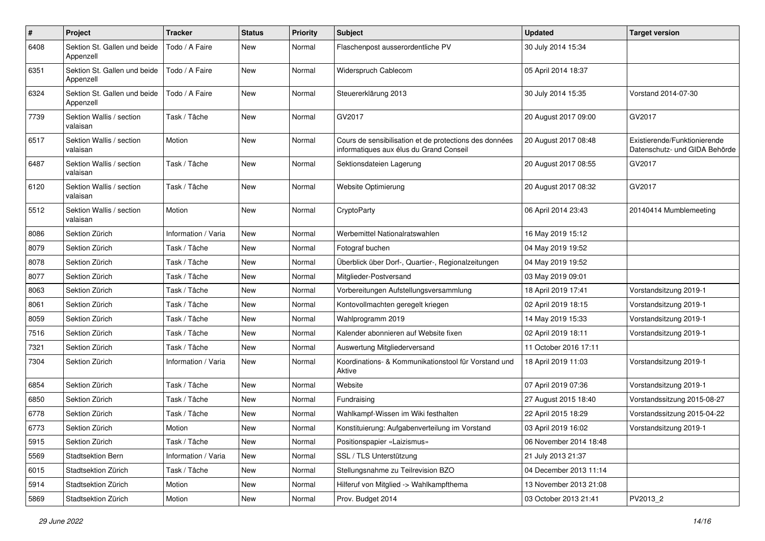| $\pmb{\#}$ | Project                                   | <b>Tracker</b>      | <b>Status</b> | <b>Priority</b> | Subject                                                                                           | <b>Updated</b>         | <b>Target version</b>                                         |
|------------|-------------------------------------------|---------------------|---------------|-----------------|---------------------------------------------------------------------------------------------------|------------------------|---------------------------------------------------------------|
| 6408       | Sektion St. Gallen und beide<br>Appenzell | Todo / A Faire      | New           | Normal          | Flaschenpost ausserordentliche PV                                                                 | 30 July 2014 15:34     |                                                               |
| 6351       | Sektion St. Gallen und beide<br>Appenzell | Todo / A Faire      | New           | Normal          | Widerspruch Cablecom                                                                              | 05 April 2014 18:37    |                                                               |
| 6324       | Sektion St. Gallen und beide<br>Appenzell | Todo / A Faire      | <b>New</b>    | Normal          | Steuererklärung 2013                                                                              | 30 July 2014 15:35     | Vorstand 2014-07-30                                           |
| 7739       | Sektion Wallis / section<br>valaisan      | Task / Tâche        | <b>New</b>    | Normal          | GV2017                                                                                            | 20 August 2017 09:00   | GV2017                                                        |
| 6517       | Sektion Wallis / section<br>valaisan      | Motion              | <b>New</b>    | Normal          | Cours de sensibilisation et de protections des données<br>informatiques aux élus du Grand Conseil | 20 August 2017 08:48   | Existierende/Funktionierende<br>Datenschutz- und GIDA Behörde |
| 6487       | Sektion Wallis / section<br>valaisan      | Task / Tâche        | New           | Normal          | Sektionsdateien Lagerung                                                                          | 20 August 2017 08:55   | GV2017                                                        |
| 6120       | Sektion Wallis / section<br>valaisan      | Task / Tâche        | <b>New</b>    | Normal          | Website Optimierung                                                                               | 20 August 2017 08:32   | GV2017                                                        |
| 5512       | Sektion Wallis / section<br>valaisan      | Motion              | New           | Normal          | CryptoParty                                                                                       | 06 April 2014 23:43    | 20140414 Mumblemeeting                                        |
| 8086       | Sektion Zürich                            | Information / Varia | <b>New</b>    | Normal          | Werbemittel Nationalratswahlen                                                                    | 16 May 2019 15:12      |                                                               |
| 8079       | Sektion Zürich                            | Task / Tâche        | <b>New</b>    | Normal          | Fotograf buchen                                                                                   | 04 May 2019 19:52      |                                                               |
| 8078       | Sektion Zürich                            | Task / Tâche        | New           | Normal          | Überblick über Dorf-, Quartier-, Regionalzeitungen                                                | 04 May 2019 19:52      |                                                               |
| 8077       | Sektion Zürich                            | Task / Tâche        | New           | Normal          | Mitglieder-Postversand                                                                            | 03 May 2019 09:01      |                                                               |
| 8063       | Sektion Zürich                            | Task / Tâche        | <b>New</b>    | Normal          | Vorbereitungen Aufstellungsversammlung                                                            | 18 April 2019 17:41    | Vorstandsitzung 2019-1                                        |
| 8061       | Sektion Zürich                            | Task / Tâche        | New           | Normal          | Kontovollmachten geregelt kriegen                                                                 | 02 April 2019 18:15    | Vorstandsitzung 2019-1                                        |
| 8059       | Sektion Zürich                            | Task / Tâche        | <b>New</b>    | Normal          | Wahlprogramm 2019                                                                                 | 14 May 2019 15:33      | Vorstandsitzung 2019-1                                        |
| 7516       | Sektion Zürich                            | Task / Tâche        | New           | Normal          | Kalender abonnieren auf Website fixen                                                             | 02 April 2019 18:11    | Vorstandsitzung 2019-1                                        |
| 7321       | Sektion Zürich                            | Task / Tâche        | <b>New</b>    | Normal          | Auswertung Mitgliederversand                                                                      | 11 October 2016 17:11  |                                                               |
| 7304       | Sektion Zürich                            | Information / Varia | <b>New</b>    | Normal          | Koordinations- & Kommunikationstool für Vorstand und<br>Aktive                                    | 18 April 2019 11:03    | Vorstandsitzung 2019-1                                        |
| 6854       | Sektion Zürich                            | Task / Tâche        | <b>New</b>    | Normal          | Website                                                                                           | 07 April 2019 07:36    | Vorstandsitzung 2019-1                                        |
| 6850       | Sektion Zürich                            | Task / Tâche        | <b>New</b>    | Normal          | Fundraising                                                                                       | 27 August 2015 18:40   | Vorstandssitzung 2015-08-27                                   |
| 6778       | Sektion Zürich                            | Task / Tâche        | New           | Normal          | Wahlkampf-Wissen im Wiki festhalten                                                               | 22 April 2015 18:29    | Vorstandssitzung 2015-04-22                                   |
| 6773       | Sektion Zürich                            | Motion              | New           | Normal          | Konstituierung: Aufgabenverteilung im Vorstand                                                    | 03 April 2019 16:02    | Vorstandsitzung 2019-1                                        |
| 5915       | Sektion Zürich                            | Task / Tâche        | New           | Normal          | Positionspapier «Laizismus»                                                                       | 06 November 2014 18:48 |                                                               |
| 5569       | Stadtsektion Bern                         | Information / Varia | New           | Normal          | SSL / TLS Unterstützung                                                                           | 21 July 2013 21:37     |                                                               |
| 6015       | Stadtsektion Zürich                       | Task / Tâche        | New           | Normal          | Stellungsnahme zu Teilrevision BZO                                                                | 04 December 2013 11:14 |                                                               |
| 5914       | Stadtsektion Zürich                       | Motion              | New           | Normal          | Hilferuf von Mitglied -> Wahlkampfthema                                                           | 13 November 2013 21:08 |                                                               |
| 5869       | Stadtsektion Zürich                       | Motion              | New           | Normal          | Prov. Budget 2014                                                                                 | 03 October 2013 21:41  | PV2013_2                                                      |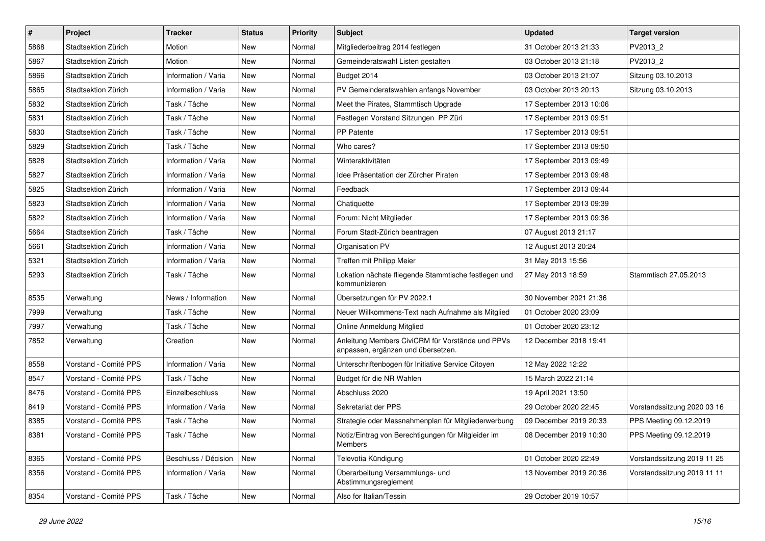| $\pmb{\#}$ | Project               | <b>Tracker</b>       | <b>Status</b> | <b>Priority</b> | Subject                                                                                | <b>Updated</b>          | <b>Target version</b>       |
|------------|-----------------------|----------------------|---------------|-----------------|----------------------------------------------------------------------------------------|-------------------------|-----------------------------|
| 5868       | Stadtsektion Zürich   | Motion               | New           | Normal          | Mitgliederbeitrag 2014 festlegen                                                       | 31 October 2013 21:33   | PV2013_2                    |
| 5867       | Stadtsektion Zürich   | Motion               | <b>New</b>    | Normal          | Gemeinderatswahl Listen gestalten                                                      | 03 October 2013 21:18   | PV2013_2                    |
| 5866       | Stadtsektion Zürich   | Information / Varia  | New           | Normal          | Budget 2014                                                                            | 03 October 2013 21:07   | Sitzung 03.10.2013          |
| 5865       | Stadtsektion Zürich   | Information / Varia  | New           | Normal          | PV Gemeinderatswahlen anfangs November                                                 | 03 October 2013 20:13   | Sitzung 03.10.2013          |
| 5832       | Stadtsektion Zürich   | Task / Tâche         | <b>New</b>    | Normal          | Meet the Pirates, Stammtisch Upgrade                                                   | 17 September 2013 10:06 |                             |
| 5831       | Stadtsektion Zürich   | Task / Tâche         | New           | Normal          | Festlegen Vorstand Sitzungen PP Züri                                                   | 17 September 2013 09:51 |                             |
| 5830       | Stadtsektion Zürich   | Task / Tâche         | <b>New</b>    | Normal          | <b>PP Patente</b>                                                                      | 17 September 2013 09:51 |                             |
| 5829       | Stadtsektion Zürich   | Task / Tâche         | New           | Normal          | Who cares?                                                                             | 17 September 2013 09:50 |                             |
| 5828       | Stadtsektion Zürich   | Information / Varia  | <b>New</b>    | Normal          | Winteraktivitäten                                                                      | 17 September 2013 09:49 |                             |
| 5827       | Stadtsektion Zürich   | Information / Varia  | <b>New</b>    | Normal          | Idee Präsentation der Zürcher Piraten                                                  | 17 September 2013 09:48 |                             |
| 5825       | Stadtsektion Zürich   | Information / Varia  | New           | Normal          | Feedback                                                                               | 17 September 2013 09:44 |                             |
| 5823       | Stadtsektion Zürich   | Information / Varia  | <b>New</b>    | Normal          | Chatiquette                                                                            | 17 September 2013 09:39 |                             |
| 5822       | Stadtsektion Zürich   | Information / Varia  | New           | Normal          | Forum: Nicht Mitglieder                                                                | 17 September 2013 09:36 |                             |
| 5664       | Stadtsektion Zürich   | Task / Tâche         | New           | Normal          | Forum Stadt-Zürich beantragen                                                          | 07 August 2013 21:17    |                             |
| 5661       | Stadtsektion Zürich   | Information / Varia  | <b>New</b>    | Normal          | Organisation PV                                                                        | 12 August 2013 20:24    |                             |
| 5321       | Stadtsektion Zürich   | Information / Varia  | New           | Normal          | Treffen mit Philipp Meier                                                              | 31 May 2013 15:56       |                             |
| 5293       | Stadtsektion Zürich   | Task / Tâche         | New           | Normal          | Lokation nächste fliegende Stammtische festlegen und<br>kommunizieren                  | 27 May 2013 18:59       | Stammtisch 27.05.2013       |
| 8535       | Verwaltung            | News / Information   | New           | Normal          | Übersetzungen für PV 2022.1                                                            | 30 November 2021 21:36  |                             |
| 7999       | Verwaltung            | Task / Tâche         | New           | Normal          | Neuer Willkommens-Text nach Aufnahme als Mitglied                                      | 01 October 2020 23:09   |                             |
| 7997       | Verwaltung            | Task / Tâche         | New           | Normal          | Online Anmeldung Mitglied                                                              | 01 October 2020 23:12   |                             |
| 7852       | Verwaltung            | Creation             | New           | Normal          | Anleitung Members CiviCRM für Vorstände und PPVs<br>anpassen, ergänzen und übersetzen. | 12 December 2018 19:41  |                             |
| 8558       | Vorstand - Comité PPS | Information / Varia  | New           | Normal          | Unterschriftenbogen für Initiative Service Citoyen                                     | 12 May 2022 12:22       |                             |
| 8547       | Vorstand - Comité PPS | Task / Tâche         | <b>New</b>    | Normal          | Budget für die NR Wahlen                                                               | 15 March 2022 21:14     |                             |
| 8476       | Vorstand - Comité PPS | Einzelbeschluss      | <b>New</b>    | Normal          | Abschluss 2020                                                                         | 19 April 2021 13:50     |                             |
| 8419       | Vorstand - Comité PPS | Information / Varia  | New           | Normal          | Sekretariat der PPS                                                                    | 29 October 2020 22:45   | Vorstandssitzung 2020 03 16 |
| 8385       | Vorstand - Comité PPS | Task / Tâche         | <b>New</b>    | Normal          | Strategie oder Massnahmenplan für Mitgliederwerbung                                    | 09 December 2019 20:33  | PPS Meeting 09.12.2019      |
| 8381       | Vorstand - Comité PPS | Task / Tâche         | New           | Normal          | Notiz/Eintrag von Berechtigungen für Mitgleider im<br>Members                          | 08 December 2019 10:30  | PPS Meeting 09.12.2019      |
| 8365       | Vorstand - Comité PPS | Beschluss / Décision | New           | Normal          | Televotia Kündigung                                                                    | 01 October 2020 22:49   | Vorstandssitzung 2019 11 25 |
| 8356       | Vorstand - Comité PPS | Information / Varia  | New           | Normal          | Überarbeitung Versammlungs- und<br>Abstimmungsreglement                                | 13 November 2019 20:36  | Vorstandssitzung 2019 11 11 |
| 8354       | Vorstand - Comité PPS | Task / Tâche         | New           | Normal          | Also for Italian/Tessin                                                                | 29 October 2019 10:57   |                             |